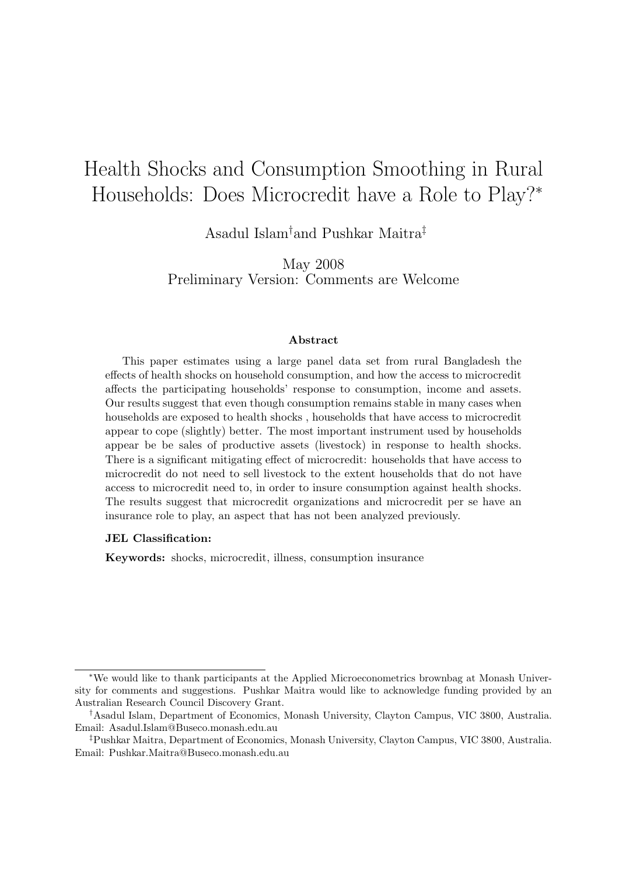# Health Shocks and Consumption Smoothing in Rural Households: Does Microcredit have a Role to Play?<sup>∗</sup>

Asadul Islam†and Pushkar Maitra‡

May 2008 Preliminary Version: Comments are Welcome

#### Abstract

This paper estimates using a large panel data set from rural Bangladesh the effects of health shocks on household consumption, and how the access to microcredit affects the participating households' response to consumption, income and assets. Our results suggest that even though consumption remains stable in many cases when households are exposed to health shocks , households that have access to microcredit appear to cope (slightly) better. The most important instrument used by households appear be be sales of productive assets (livestock) in response to health shocks. There is a significant mitigating effect of microcredit: households that have access to microcredit do not need to sell livestock to the extent households that do not have access to microcredit need to, in order to insure consumption against health shocks. The results suggest that microcredit organizations and microcredit per se have an insurance role to play, an aspect that has not been analyzed previously.

#### JEL Classification:

Keywords: shocks, microcredit, illness, consumption insurance

<sup>∗</sup>We would like to thank participants at the Applied Microeconometrics brownbag at Monash University for comments and suggestions. Pushkar Maitra would like to acknowledge funding provided by an Australian Research Council Discovery Grant.

<sup>†</sup>Asadul Islam, Department of Economics, Monash University, Clayton Campus, VIC 3800, Australia. Email: Asadul.Islam@Buseco.monash.edu.au

<sup>‡</sup>Pushkar Maitra, Department of Economics, Monash University, Clayton Campus, VIC 3800, Australia. Email: Pushkar.Maitra@Buseco.monash.edu.au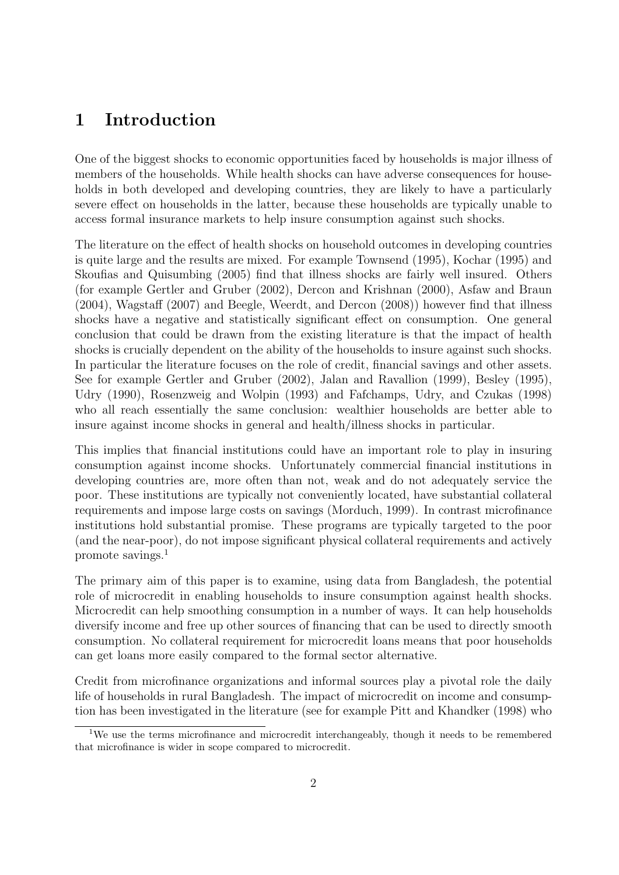### 1 Introduction

One of the biggest shocks to economic opportunities faced by households is major illness of members of the households. While health shocks can have adverse consequences for households in both developed and developing countries, they are likely to have a particularly severe effect on households in the latter, because these households are typically unable to access formal insurance markets to help insure consumption against such shocks.

The literature on the effect of health shocks on household outcomes in developing countries is quite large and the results are mixed. For example Townsend (1995), Kochar (1995) and Skoufias and Quisumbing (2005) find that illness shocks are fairly well insured. Others (for example Gertler and Gruber (2002), Dercon and Krishnan (2000), Asfaw and Braun (2004), Wagstaff (2007) and Beegle, Weerdt, and Dercon (2008)) however find that illness shocks have a negative and statistically significant effect on consumption. One general conclusion that could be drawn from the existing literature is that the impact of health shocks is crucially dependent on the ability of the households to insure against such shocks. In particular the literature focuses on the role of credit, financial savings and other assets. See for example Gertler and Gruber (2002), Jalan and Ravallion (1999), Besley (1995), Udry (1990), Rosenzweig and Wolpin (1993) and Fafchamps, Udry, and Czukas (1998) who all reach essentially the same conclusion: wealthier households are better able to insure against income shocks in general and health/illness shocks in particular.

This implies that financial institutions could have an important role to play in insuring consumption against income shocks. Unfortunately commercial financial institutions in developing countries are, more often than not, weak and do not adequately service the poor. These institutions are typically not conveniently located, have substantial collateral requirements and impose large costs on savings (Morduch, 1999). In contrast microfinance institutions hold substantial promise. These programs are typically targeted to the poor (and the near-poor), do not impose significant physical collateral requirements and actively promote savings.<sup>1</sup>

The primary aim of this paper is to examine, using data from Bangladesh, the potential role of microcredit in enabling households to insure consumption against health shocks. Microcredit can help smoothing consumption in a number of ways. It can help households diversify income and free up other sources of financing that can be used to directly smooth consumption. No collateral requirement for microcredit loans means that poor households can get loans more easily compared to the formal sector alternative.

Credit from microfinance organizations and informal sources play a pivotal role the daily life of households in rural Bangladesh. The impact of microcredit on income and consumption has been investigated in the literature (see for example Pitt and Khandker (1998) who

<sup>&</sup>lt;sup>1</sup>We use the terms microfinance and microcredit interchangeably, though it needs to be remembered that microfinance is wider in scope compared to microcredit.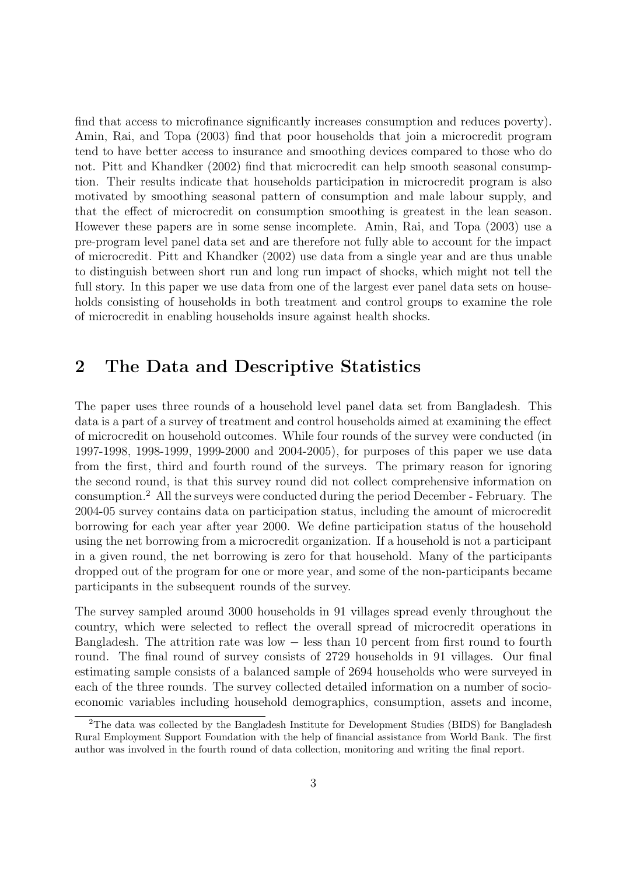find that access to microfinance significantly increases consumption and reduces poverty). Amin, Rai, and Topa (2003) find that poor households that join a microcredit program tend to have better access to insurance and smoothing devices compared to those who do not. Pitt and Khandker (2002) find that microcredit can help smooth seasonal consumption. Their results indicate that households participation in microcredit program is also motivated by smoothing seasonal pattern of consumption and male labour supply, and that the effect of microcredit on consumption smoothing is greatest in the lean season. However these papers are in some sense incomplete. Amin, Rai, and Topa (2003) use a pre-program level panel data set and are therefore not fully able to account for the impact of microcredit. Pitt and Khandker (2002) use data from a single year and are thus unable to distinguish between short run and long run impact of shocks, which might not tell the full story. In this paper we use data from one of the largest ever panel data sets on households consisting of households in both treatment and control groups to examine the role of microcredit in enabling households insure against health shocks.

# 2 The Data and Descriptive Statistics

The paper uses three rounds of a household level panel data set from Bangladesh. This data is a part of a survey of treatment and control households aimed at examining the effect of microcredit on household outcomes. While four rounds of the survey were conducted (in 1997-1998, 1998-1999, 1999-2000 and 2004-2005), for purposes of this paper we use data from the first, third and fourth round of the surveys. The primary reason for ignoring the second round, is that this survey round did not collect comprehensive information on consumption.<sup>2</sup> All the surveys were conducted during the period December - February. The 2004-05 survey contains data on participation status, including the amount of microcredit borrowing for each year after year 2000. We define participation status of the household using the net borrowing from a microcredit organization. If a household is not a participant in a given round, the net borrowing is zero for that household. Many of the participants dropped out of the program for one or more year, and some of the non-participants became participants in the subsequent rounds of the survey.

The survey sampled around 3000 households in 91 villages spread evenly throughout the country, which were selected to reflect the overall spread of microcredit operations in Bangladesh. The attrition rate was low − less than 10 percent from first round to fourth round. The final round of survey consists of 2729 households in 91 villages. Our final estimating sample consists of a balanced sample of 2694 households who were surveyed in each of the three rounds. The survey collected detailed information on a number of socioeconomic variables including household demographics, consumption, assets and income,

<sup>2</sup>The data was collected by the Bangladesh Institute for Development Studies (BIDS) for Bangladesh Rural Employment Support Foundation with the help of financial assistance from World Bank. The first author was involved in the fourth round of data collection, monitoring and writing the final report.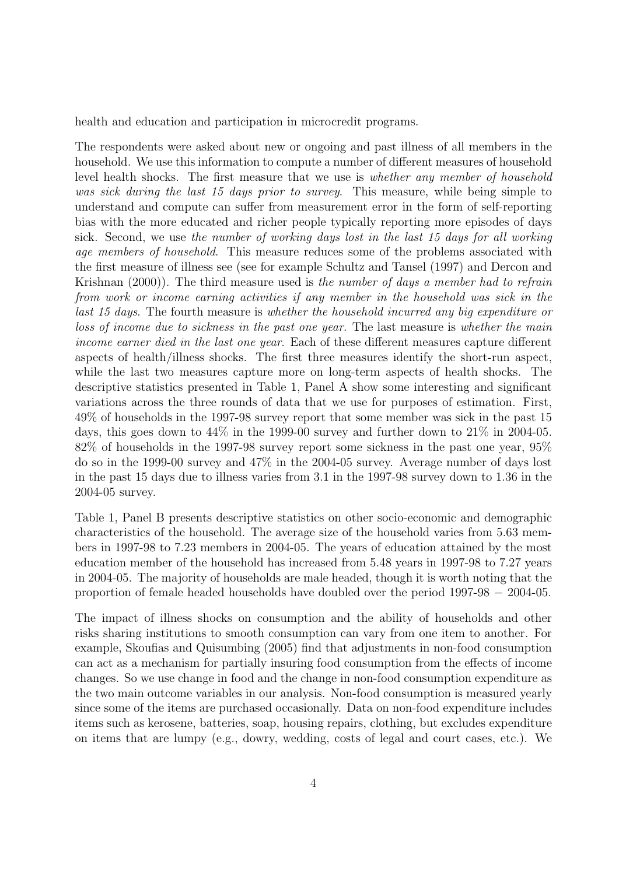health and education and participation in microcredit programs.

The respondents were asked about new or ongoing and past illness of all members in the household. We use this information to compute a number of different measures of household level health shocks. The first measure that we use is whether any member of household was sick during the last 15 days prior to survey. This measure, while being simple to understand and compute can suffer from measurement error in the form of self-reporting bias with the more educated and richer people typically reporting more episodes of days sick. Second, we use the number of working days lost in the last 15 days for all working age members of household. This measure reduces some of the problems associated with the first measure of illness see (see for example Schultz and Tansel (1997) and Dercon and Krishnan (2000)). The third measure used is the number of days a member had to refrain from work or income earning activities if any member in the household was sick in the last 15 days. The fourth measure is whether the household incurred any big expenditure or loss of income due to sickness in the past one year. The last measure is whether the main income earner died in the last one year. Each of these different measures capture different aspects of health/illness shocks. The first three measures identify the short-run aspect, while the last two measures capture more on long-term aspects of health shocks. The descriptive statistics presented in Table 1, Panel A show some interesting and significant variations across the three rounds of data that we use for purposes of estimation. First, 49% of households in the 1997-98 survey report that some member was sick in the past 15 days, this goes down to 44% in the 1999-00 survey and further down to 21% in 2004-05. 82% of households in the 1997-98 survey report some sickness in the past one year, 95% do so in the 1999-00 survey and 47% in the 2004-05 survey. Average number of days lost in the past 15 days due to illness varies from 3.1 in the 1997-98 survey down to 1.36 in the 2004-05 survey.

Table 1, Panel B presents descriptive statistics on other socio-economic and demographic characteristics of the household. The average size of the household varies from 5.63 members in 1997-98 to 7.23 members in 2004-05. The years of education attained by the most education member of the household has increased from 5.48 years in 1997-98 to 7.27 years in 2004-05. The majority of households are male headed, though it is worth noting that the proportion of female headed households have doubled over the period 1997-98 − 2004-05.

The impact of illness shocks on consumption and the ability of households and other risks sharing institutions to smooth consumption can vary from one item to another. For example, Skoufias and Quisumbing (2005) find that adjustments in non-food consumption can act as a mechanism for partially insuring food consumption from the effects of income changes. So we use change in food and the change in non-food consumption expenditure as the two main outcome variables in our analysis. Non-food consumption is measured yearly since some of the items are purchased occasionally. Data on non-food expenditure includes items such as kerosene, batteries, soap, housing repairs, clothing, but excludes expenditure on items that are lumpy (e.g., dowry, wedding, costs of legal and court cases, etc.). We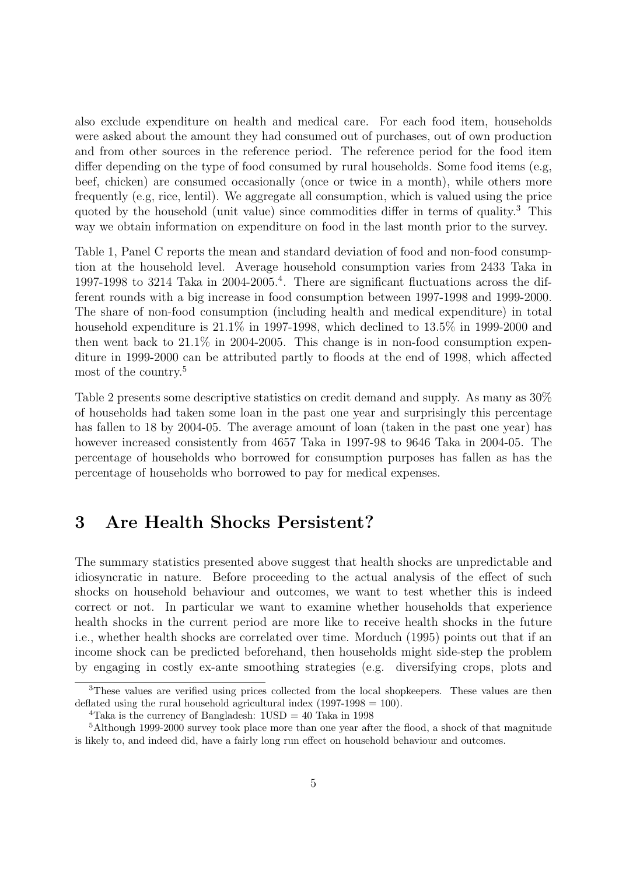also exclude expenditure on health and medical care. For each food item, households were asked about the amount they had consumed out of purchases, out of own production and from other sources in the reference period. The reference period for the food item differ depending on the type of food consumed by rural households. Some food items (e.g, beef, chicken) are consumed occasionally (once or twice in a month), while others more frequently (e.g, rice, lentil). We aggregate all consumption, which is valued using the price quoted by the household (unit value) since commodities differ in terms of quality.<sup>3</sup> This way we obtain information on expenditure on food in the last month prior to the survey.

Table 1, Panel C reports the mean and standard deviation of food and non-food consumption at the household level. Average household consumption varies from 2433 Taka in 1997-1998 to 3214 Taka in 2004-2005.<sup>4</sup> . There are significant fluctuations across the different rounds with a big increase in food consumption between 1997-1998 and 1999-2000. The share of non-food consumption (including health and medical expenditure) in total household expenditure is  $21.1\%$  in 1997-1998, which declined to 13.5% in 1999-2000 and then went back to 21.1% in 2004-2005. This change is in non-food consumption expenditure in 1999-2000 can be attributed partly to floods at the end of 1998, which affected most of the country.<sup>5</sup>

Table 2 presents some descriptive statistics on credit demand and supply. As many as 30% of households had taken some loan in the past one year and surprisingly this percentage has fallen to 18 by 2004-05. The average amount of loan (taken in the past one year) has however increased consistently from 4657 Taka in 1997-98 to 9646 Taka in 2004-05. The percentage of households who borrowed for consumption purposes has fallen as has the percentage of households who borrowed to pay for medical expenses.

# 3 Are Health Shocks Persistent?

The summary statistics presented above suggest that health shocks are unpredictable and idiosyncratic in nature. Before proceeding to the actual analysis of the effect of such shocks on household behaviour and outcomes, we want to test whether this is indeed correct or not. In particular we want to examine whether households that experience health shocks in the current period are more like to receive health shocks in the future i.e., whether health shocks are correlated over time. Morduch (1995) points out that if an income shock can be predicted beforehand, then households might side-step the problem by engaging in costly ex-ante smoothing strategies (e.g. diversifying crops, plots and

<sup>&</sup>lt;sup>3</sup>These values are verified using prices collected from the local shopkeepers. These values are then deflated using the rural household agricultural index  $(1997-1998 = 100)$ .

<sup>&</sup>lt;sup>4</sup>Taka is the currency of Bangladesh:  $1USD = 40$  Taka in 1998

<sup>5</sup>Although 1999-2000 survey took place more than one year after the flood, a shock of that magnitude is likely to, and indeed did, have a fairly long run effect on household behaviour and outcomes.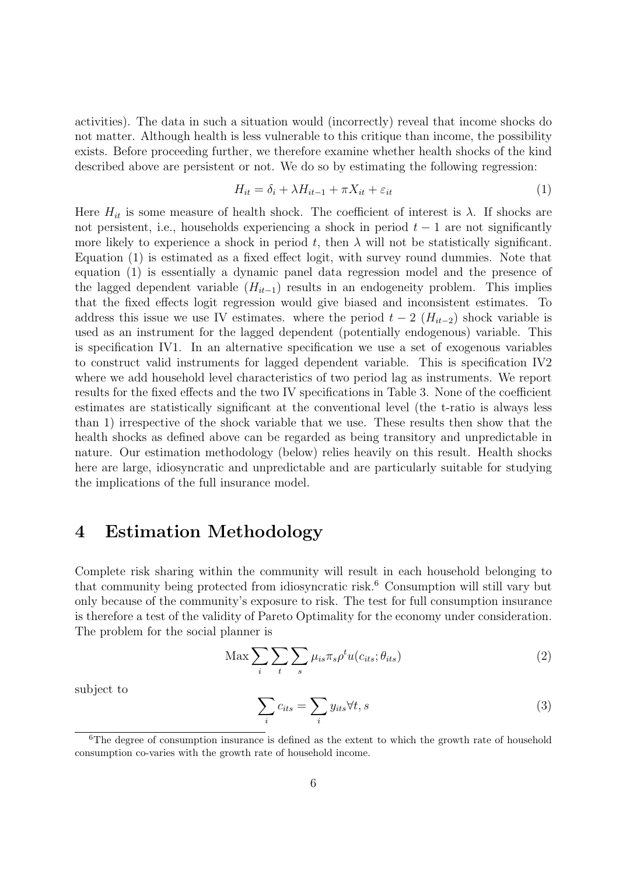activities). The data in such a situation would (incorrectly) reveal that income shocks do not matter. Although health is less vulnerable to this critique than income, the possibility exists. Before proceeding further, we therefore examine whether health shocks of the kind described above are persistent or not. We do so by estimating the following regression:

$$
H_{it} = \delta_i + \lambda H_{it-1} + \pi X_{it} + \varepsilon_{it}
$$
\n<sup>(1)</sup>

Here  $H_{it}$  is some measure of health shock. The coefficient of interest is  $\lambda$ . If shocks are not persistent, i.e., households experiencing a shock in period  $t - 1$  are not significantly more likely to experience a shock in period t, then  $\lambda$  will not be statistically significant. Equation (1) is estimated as a fixed effect logit, with survey round dummies. Note that equation (1) is essentially a dynamic panel data regression model and the presence of the lagged dependent variable  $(H_{it-1})$  results in an endogeneity problem. This implies that the fixed effects logit regression would give biased and inconsistent estimates. To address this issue we use IV estimates. where the period  $t-2$  ( $H_{it-2}$ ) shock variable is used as an instrument for the lagged dependent (potentially endogenous) variable. This is specification IV1. In an alternative specification we use a set of exogenous variables to construct valid instruments for lagged dependent variable. This is specification IV2 where we add household level characteristics of two period lag as instruments. We report results for the fixed effects and the two IV specifications in Table 3. None of the coefficient estimates are statistically significant at the conventional level (the t-ratio is always less than 1) irrespective of the shock variable that we use. These results then show that the health shocks as defined above can be regarded as being transitory and unpredictable in nature. Our estimation methodology (below) relies heavily on this result. Health shocks here are large, idiosyncratic and unpredictable and are particularly suitable for studying the implications of the full insurance model.

### 4 Estimation Methodology

Complete risk sharing within the community will result in each household belonging to that community being protected from idiosyncratic risk.<sup>6</sup> Consumption will still vary but only because of the community's exposure to risk. The test for full consumption insurance is therefore a test of the validity of Pareto Optimality for the economy under consideration. The problem for the social planner is

$$
\text{Max} \sum_{i} \sum_{t} \sum_{s} \mu_{is} \pi_{s} \rho^{t} u(c_{its}; \theta_{its}) \tag{2}
$$

subject to

$$
\sum_{i} c_{its} = \sum_{i} y_{its} \forall t, s
$$
 (3)

 $6$ The degree of consumption insurance is defined as the extent to which the growth rate of household consumption co-varies with the growth rate of household income.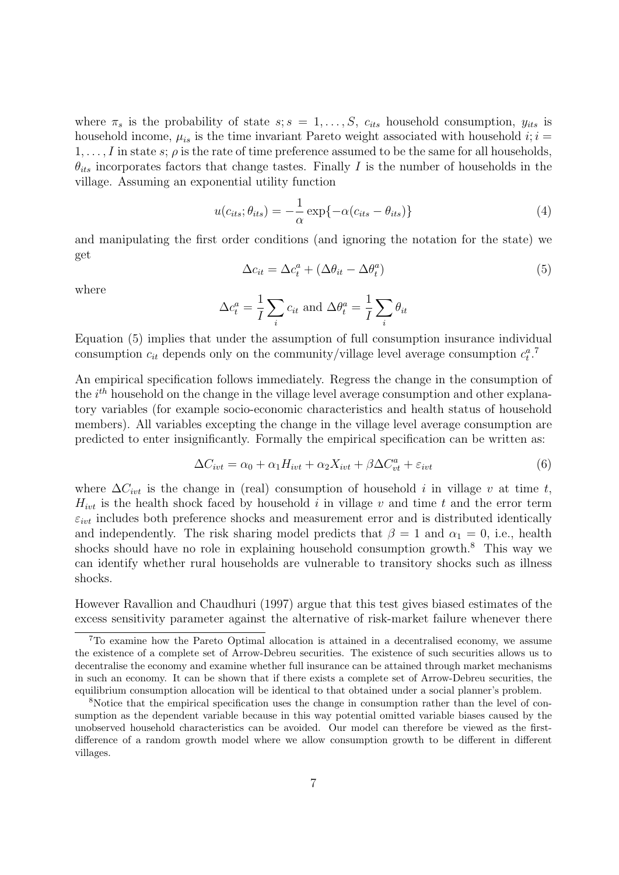where  $\pi_s$  is the probability of state  $s; s = 1, \ldots, S$ ,  $c_{its}$  household consumption,  $y_{its}$  is household income,  $\mu_{is}$  is the time invariant Pareto weight associated with household  $i; i =$  $1, \ldots, I$  in state s;  $\rho$  is the rate of time preference assumed to be the same for all households,  $\theta_{its}$  incorporates factors that change tastes. Finally I is the number of households in the village. Assuming an exponential utility function

$$
u(c_{its}; \theta_{its}) = -\frac{1}{\alpha} \exp\{-\alpha(c_{its} - \theta_{its})\}\tag{4}
$$

and manipulating the first order conditions (and ignoring the notation for the state) we get

$$
\Delta c_{it} = \Delta c_t^a + (\Delta \theta_{it} - \Delta \theta_t^a)
$$
\n(5)

where

$$
\Delta c_t^a = \frac{1}{I} \sum_i c_{it} \text{ and } \Delta \theta_t^a = \frac{1}{I} \sum_i \theta_{it}
$$

Equation (5) implies that under the assumption of full consumption insurance individual consumption  $c_{it}$  depends only on the community/village level average consumption  $c_t^a$ .

An empirical specification follows immediately. Regress the change in the consumption of the  $i^{th}$  household on the change in the village level average consumption and other explanatory variables (for example socio-economic characteristics and health status of household members). All variables excepting the change in the village level average consumption are predicted to enter insignificantly. Formally the empirical specification can be written as:

$$
\Delta C_{ivt} = \alpha_0 + \alpha_1 H_{ivt} + \alpha_2 X_{ivt} + \beta \Delta C_{vt}^a + \varepsilon_{ivt}
$$
\n
$$
\tag{6}
$$

where  $\Delta C_{ivt}$  is the change in (real) consumption of household i in village v at time t,  $H_{ivt}$  is the health shock faced by household i in village v and time t and the error term  $\varepsilon_{ivt}$  includes both preference shocks and measurement error and is distributed identically and independently. The risk sharing model predicts that  $\beta = 1$  and  $\alpha_1 = 0$ , i.e., health shocks should have no role in explaining household consumption growth.<sup>8</sup> This way we can identify whether rural households are vulnerable to transitory shocks such as illness shocks.

However Ravallion and Chaudhuri (1997) argue that this test gives biased estimates of the excess sensitivity parameter against the alternative of risk-market failure whenever there

<sup>7</sup>To examine how the Pareto Optimal allocation is attained in a decentralised economy, we assume the existence of a complete set of Arrow-Debreu securities. The existence of such securities allows us to decentralise the economy and examine whether full insurance can be attained through market mechanisms in such an economy. It can be shown that if there exists a complete set of Arrow-Debreu securities, the equilibrium consumption allocation will be identical to that obtained under a social planner's problem.

<sup>&</sup>lt;sup>8</sup>Notice that the empirical specification uses the change in consumption rather than the level of consumption as the dependent variable because in this way potential omitted variable biases caused by the unobserved household characteristics can be avoided. Our model can therefore be viewed as the firstdifference of a random growth model where we allow consumption growth to be different in different villages.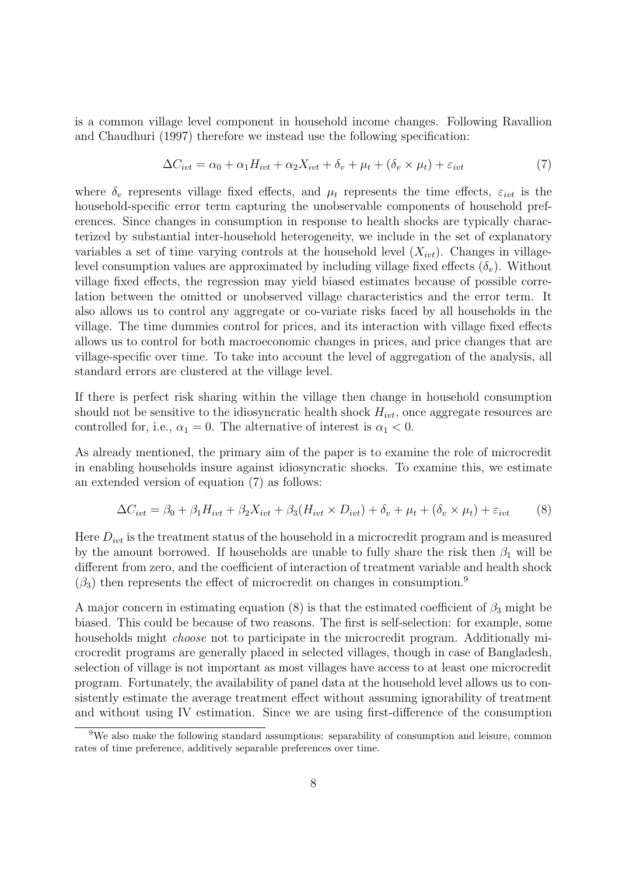is a common village level component in household income changes. Following Ravallion and Chaudhuri (1997) therefore we instead use the following specification:

$$
\Delta C_{ivt} = \alpha_0 + \alpha_1 H_{ivt} + \alpha_2 X_{ivt} + \delta_v + \mu_t + (\delta_v \times \mu_t) + \varepsilon_{ivt}
$$
\n<sup>(7)</sup>

where  $\delta_v$  represents village fixed effects, and  $\mu_t$  represents the time effects,  $\varepsilon_{ivt}$  is the household-specific error term capturing the unobservable components of household preferences. Since changes in consumption in response to health shocks are typically characterized by substantial inter-household heterogeneity, we include in the set of explanatory variables a set of time varying controls at the household level  $(X_{ivt})$ . Changes in villagelevel consumption values are approximated by including village fixed effects  $(\delta_v)$ . Without village fixed effects, the regression may yield biased estimates because of possible correlation between the omitted or unobserved village characteristics and the error term. It also allows us to control any aggregate or co-variate risks faced by all households in the village. The time dummies control for prices, and its interaction with village fixed effects allows us to control for both macroeconomic changes in prices, and price changes that are village-specific over time. To take into account the level of aggregation of the analysis, all standard errors are clustered at the village level.

If there is perfect risk sharing within the village then change in household consumption should not be sensitive to the idiosyncratic health shock  $H_{ivt}$ , once aggregate resources are controlled for, i.e.,  $\alpha_1 = 0$ . The alternative of interest is  $\alpha_1 < 0$ .

As already mentioned, the primary aim of the paper is to examine the role of microcredit in enabling households insure against idiosyncratic shocks. To examine this, we estimate an extended version of equation (7) as follows:

$$
\Delta C_{ivt} = \beta_0 + \beta_1 H_{ivt} + \beta_2 X_{ivt} + \beta_3 (H_{ivt} \times D_{ivt}) + \delta_v + \mu_t + (\delta_v \times \mu_t) + \varepsilon_{ivt}
$$
(8)

Here  $D_{ivt}$  is the treatment status of the household in a microcredit program and is measured by the amount borrowed. If households are unable to fully share the risk then  $\beta_1$  will be different from zero, and the coefficient of interaction of treatment variable and health shock  $(\beta_3)$  then represents the effect of microcredit on changes in consumption.<sup>9</sup>

A major concern in estimating equation (8) is that the estimated coefficient of  $\beta_3$  might be biased. This could be because of two reasons. The first is self-selection: for example, some households might *choose* not to participate in the microcredit program. Additionally microcredit programs are generally placed in selected villages, though in case of Bangladesh, selection of village is not important as most villages have access to at least one microcredit program. Fortunately, the availability of panel data at the household level allows us to consistently estimate the average treatment effect without assuming ignorability of treatment and without using IV estimation. Since we are using first-difference of the consumption

<sup>&</sup>lt;sup>9</sup>We also make the following standard assumptions: separability of consumption and leisure, common rates of time preference, additively separable preferences over time.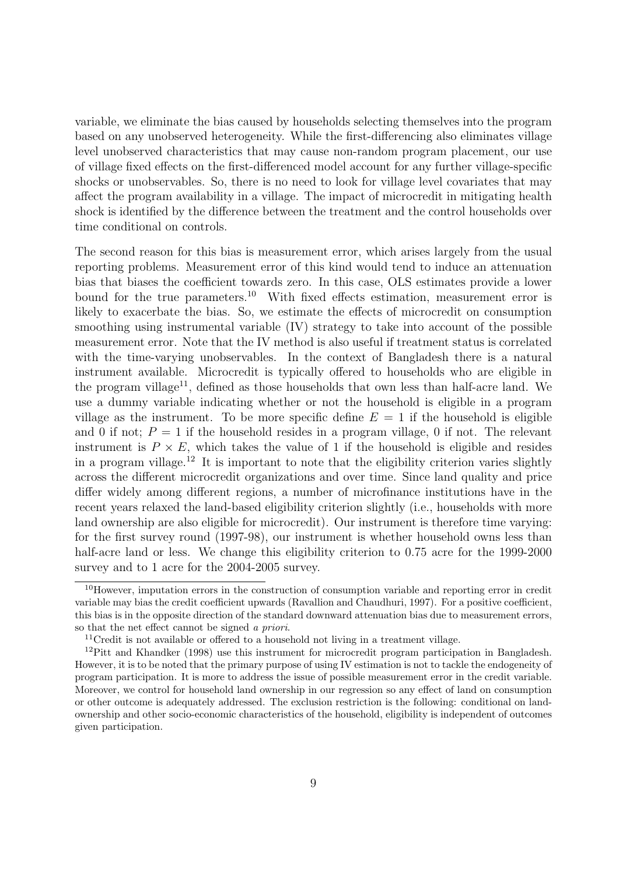variable, we eliminate the bias caused by households selecting themselves into the program based on any unobserved heterogeneity. While the first-differencing also eliminates village level unobserved characteristics that may cause non-random program placement, our use of village fixed effects on the first-differenced model account for any further village-specific shocks or unobservables. So, there is no need to look for village level covariates that may affect the program availability in a village. The impact of microcredit in mitigating health shock is identified by the difference between the treatment and the control households over time conditional on controls.

The second reason for this bias is measurement error, which arises largely from the usual reporting problems. Measurement error of this kind would tend to induce an attenuation bias that biases the coefficient towards zero. In this case, OLS estimates provide a lower bound for the true parameters.<sup>10</sup> With fixed effects estimation, measurement error is likely to exacerbate the bias. So, we estimate the effects of microcredit on consumption smoothing using instrumental variable (IV) strategy to take into account of the possible measurement error. Note that the IV method is also useful if treatment status is correlated with the time-varying unobservables. In the context of Bangladesh there is a natural instrument available. Microcredit is typically offered to households who are eligible in the program village<sup>11</sup>, defined as those households that own less than half-acre land. We use a dummy variable indicating whether or not the household is eligible in a program village as the instrument. To be more specific define  $E = 1$  if the household is eligible and 0 if not;  $P = 1$  if the household resides in a program village, 0 if not. The relevant instrument is  $P \times E$ , which takes the value of 1 if the household is eligible and resides in a program village.<sup>12</sup> It is important to note that the eligibility criterion varies slightly across the different microcredit organizations and over time. Since land quality and price differ widely among different regions, a number of microfinance institutions have in the recent years relaxed the land-based eligibility criterion slightly (i.e., households with more land ownership are also eligible for microcredit). Our instrument is therefore time varying: for the first survey round (1997-98), our instrument is whether household owns less than half-acre land or less. We change this eligibility criterion to  $0.75$  acre for the 1999-2000 survey and to 1 acre for the 2004-2005 survey.

<sup>10</sup>However, imputation errors in the construction of consumption variable and reporting error in credit variable may bias the credit coefficient upwards (Ravallion and Chaudhuri, 1997). For a positive coefficient, this bias is in the opposite direction of the standard downward attenuation bias due to measurement errors, so that the net effect cannot be signed a priori.

<sup>&</sup>lt;sup>11</sup>Credit is not available or offered to a household not living in a treatment village.

<sup>12</sup>Pitt and Khandker (1998) use this instrument for microcredit program participation in Bangladesh. However, it is to be noted that the primary purpose of using IV estimation is not to tackle the endogeneity of program participation. It is more to address the issue of possible measurement error in the credit variable. Moreover, we control for household land ownership in our regression so any effect of land on consumption or other outcome is adequately addressed. The exclusion restriction is the following: conditional on landownership and other socio-economic characteristics of the household, eligibility is independent of outcomes given participation.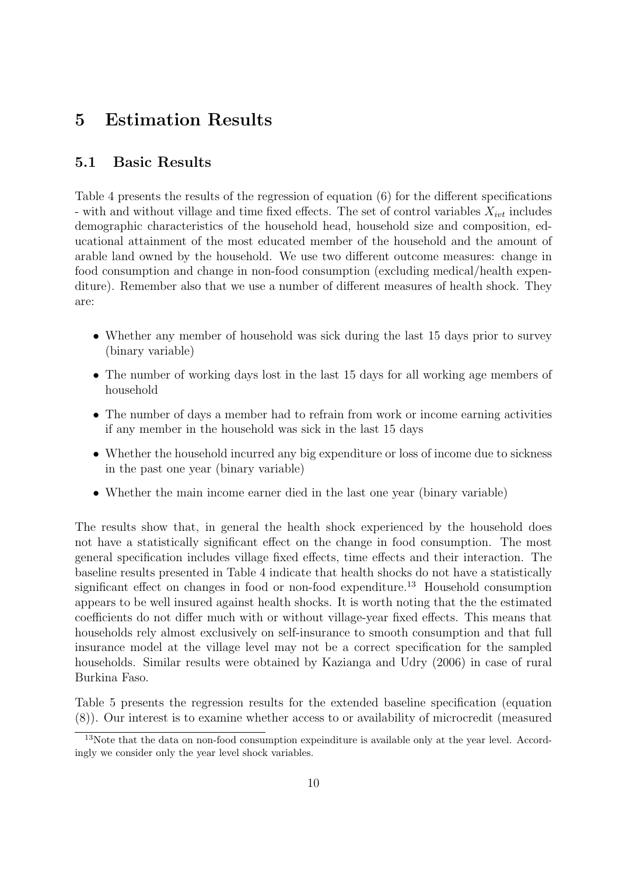# 5 Estimation Results

#### 5.1 Basic Results

Table 4 presents the results of the regression of equation (6) for the different specifications - with and without village and time fixed effects. The set of control variables  $X_{ivt}$  includes demographic characteristics of the household head, household size and composition, educational attainment of the most educated member of the household and the amount of arable land owned by the household. We use two different outcome measures: change in food consumption and change in non-food consumption (excluding medical/health expenditure). Remember also that we use a number of different measures of health shock. They are:

- Whether any member of household was sick during the last 15 days prior to survey (binary variable)
- The number of working days lost in the last 15 days for all working age members of household
- The number of days a member had to refrain from work or income earning activities if any member in the household was sick in the last 15 days
- Whether the household incurred any big expenditure or loss of income due to sickness in the past one year (binary variable)
- Whether the main income earner died in the last one year (binary variable)

The results show that, in general the health shock experienced by the household does not have a statistically significant effect on the change in food consumption. The most general specification includes village fixed effects, time effects and their interaction. The baseline results presented in Table 4 indicate that health shocks do not have a statistically significant effect on changes in food or non-food expenditure.<sup>13</sup> Household consumption appears to be well insured against health shocks. It is worth noting that the the estimated coefficients do not differ much with or without village-year fixed effects. This means that households rely almost exclusively on self-insurance to smooth consumption and that full insurance model at the village level may not be a correct specification for the sampled households. Similar results were obtained by Kazianga and Udry (2006) in case of rural Burkina Faso.

Table 5 presents the regression results for the extended baseline specification (equation (8)). Our interest is to examine whether access to or availability of microcredit (measured

<sup>&</sup>lt;sup>13</sup>Note that the data on non-food consumption expeinditure is available only at the year level. Accordingly we consider only the year level shock variables.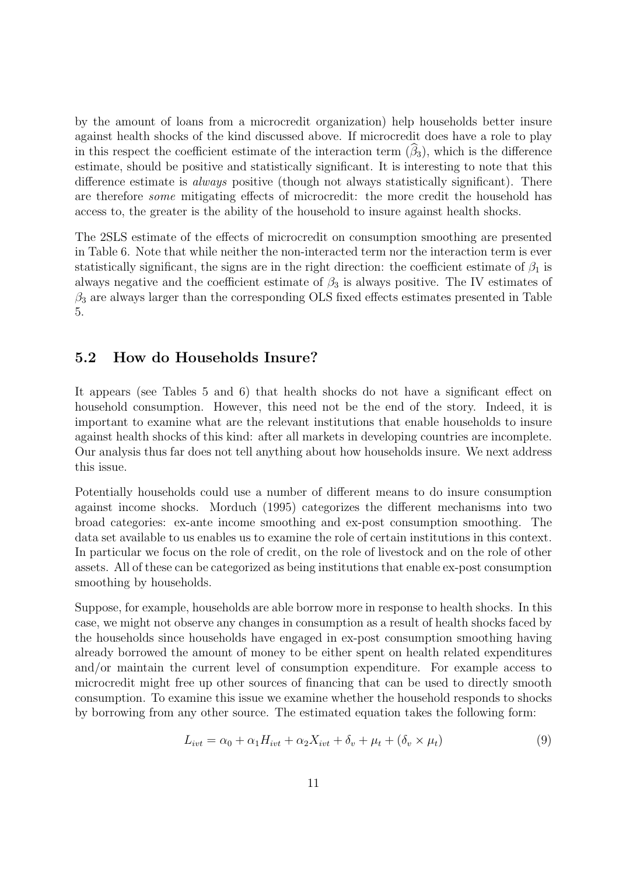by the amount of loans from a microcredit organization) help households better insure against health shocks of the kind discussed above. If microcredit does have a role to play in this respect the coefficient estimate of the interaction term  $(\hat{\beta}_3)$ , which is the difference estimate, should be positive and statistically significant. It is interesting to note that this difference estimate is always positive (though not always statistically significant). There are therefore some mitigating effects of microcredit: the more credit the household has access to, the greater is the ability of the household to insure against health shocks.

The 2SLS estimate of the effects of microcredit on consumption smoothing are presented in Table 6. Note that while neither the non-interacted term nor the interaction term is ever statistically significant, the signs are in the right direction: the coefficient estimate of  $\beta_1$  is always negative and the coefficient estimate of  $\beta_3$  is always positive. The IV estimates of  $\beta_3$  are always larger than the corresponding OLS fixed effects estimates presented in Table 5.

#### 5.2 How do Households Insure?

It appears (see Tables 5 and 6) that health shocks do not have a significant effect on household consumption. However, this need not be the end of the story. Indeed, it is important to examine what are the relevant institutions that enable households to insure against health shocks of this kind: after all markets in developing countries are incomplete. Our analysis thus far does not tell anything about how households insure. We next address this issue.

Potentially households could use a number of different means to do insure consumption against income shocks. Morduch (1995) categorizes the different mechanisms into two broad categories: ex-ante income smoothing and ex-post consumption smoothing. The data set available to us enables us to examine the role of certain institutions in this context. In particular we focus on the role of credit, on the role of livestock and on the role of other assets. All of these can be categorized as being institutions that enable ex-post consumption smoothing by households.

Suppose, for example, households are able borrow more in response to health shocks. In this case, we might not observe any changes in consumption as a result of health shocks faced by the households since households have engaged in ex-post consumption smoothing having already borrowed the amount of money to be either spent on health related expenditures and/or maintain the current level of consumption expenditure. For example access to microcredit might free up other sources of financing that can be used to directly smooth consumption. To examine this issue we examine whether the household responds to shocks by borrowing from any other source. The estimated equation takes the following form:

$$
L_{ivt} = \alpha_0 + \alpha_1 H_{ivt} + \alpha_2 X_{ivt} + \delta_v + \mu_t + (\delta_v \times \mu_t)
$$
\n
$$
(9)
$$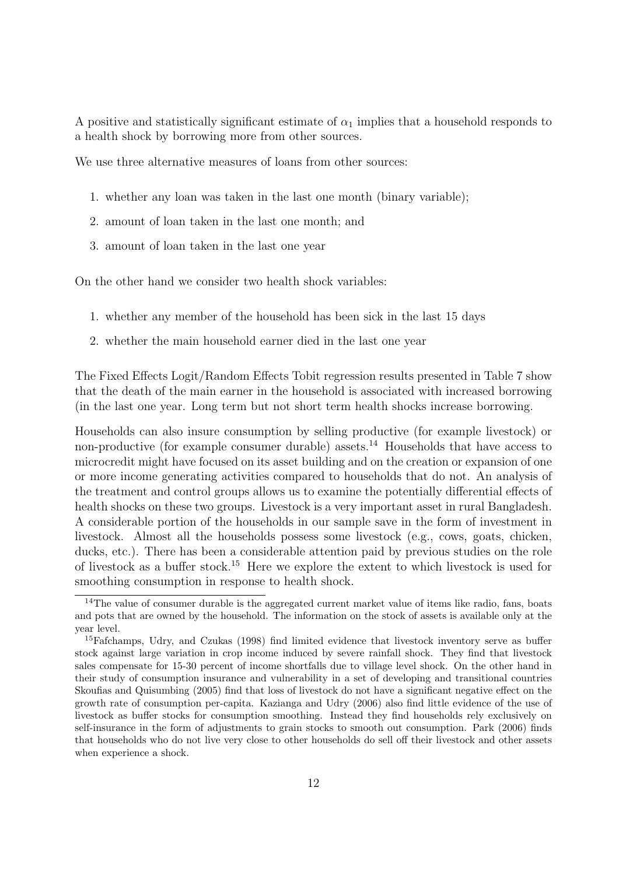A positive and statistically significant estimate of  $\alpha_1$  implies that a household responds to a health shock by borrowing more from other sources.

We use three alternative measures of loans from other sources:

- 1. whether any loan was taken in the last one month (binary variable);
- 2. amount of loan taken in the last one month; and
- 3. amount of loan taken in the last one year

On the other hand we consider two health shock variables:

- 1. whether any member of the household has been sick in the last 15 days
- 2. whether the main household earner died in the last one year

The Fixed Effects Logit/Random Effects Tobit regression results presented in Table 7 show that the death of the main earner in the household is associated with increased borrowing (in the last one year. Long term but not short term health shocks increase borrowing.

Households can also insure consumption by selling productive (for example livestock) or non-productive (for example consumer durable) assets.<sup>14</sup> Households that have access to microcredit might have focused on its asset building and on the creation or expansion of one or more income generating activities compared to households that do not. An analysis of the treatment and control groups allows us to examine the potentially differential effects of health shocks on these two groups. Livestock is a very important asset in rural Bangladesh. A considerable portion of the households in our sample save in the form of investment in livestock. Almost all the households possess some livestock (e.g., cows, goats, chicken, ducks, etc.). There has been a considerable attention paid by previous studies on the role of livestock as a buffer stock.<sup>15</sup> Here we explore the extent to which livestock is used for smoothing consumption in response to health shock.

<sup>&</sup>lt;sup>14</sup>The value of consumer durable is the aggregated current market value of items like radio, fans, boats and pots that are owned by the household. The information on the stock of assets is available only at the year level.

<sup>&</sup>lt;sup>15</sup>Fafchamps, Udry, and Czukas (1998) find limited evidence that livestock inventory serve as buffer stock against large variation in crop income induced by severe rainfall shock. They find that livestock sales compensate for 15-30 percent of income shortfalls due to village level shock. On the other hand in their study of consumption insurance and vulnerability in a set of developing and transitional countries Skoufias and Quisumbing (2005) find that loss of livestock do not have a significant negative effect on the growth rate of consumption per-capita. Kazianga and Udry (2006) also find little evidence of the use of livestock as buffer stocks for consumption smoothing. Instead they find households rely exclusively on self-insurance in the form of adjustments to grain stocks to smooth out consumption. Park (2006) finds that households who do not live very close to other households do sell off their livestock and other assets when experience a shock.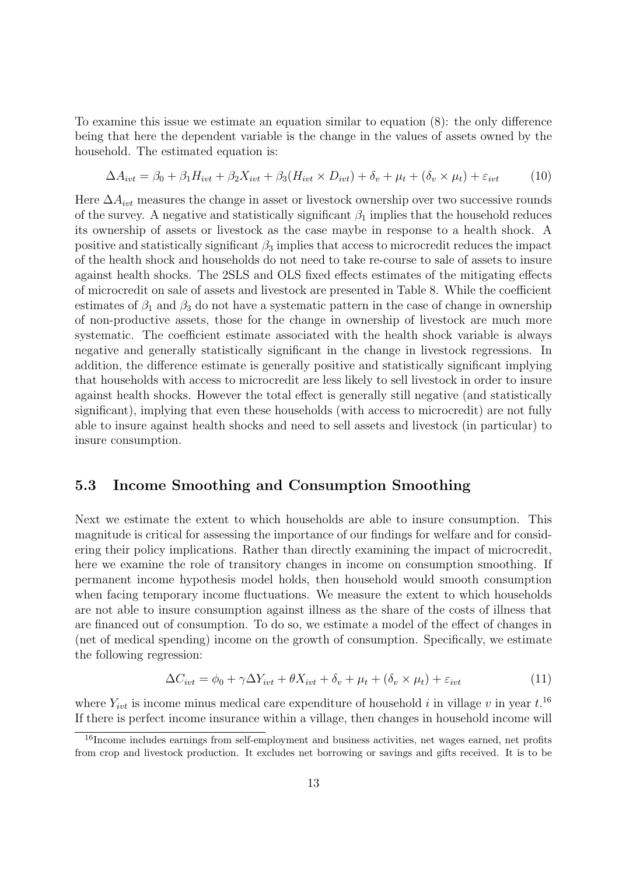To examine this issue we estimate an equation similar to equation (8): the only difference being that here the dependent variable is the change in the values of assets owned by the household. The estimated equation is:

$$
\Delta A_{ivt} = \beta_0 + \beta_1 H_{ivt} + \beta_2 X_{ivt} + \beta_3 (H_{ivt} \times D_{ivt}) + \delta_v + \mu_t + (\delta_v \times \mu_t) + \varepsilon_{ivt} \tag{10}
$$

Here  $\Delta A_{ivt}$  measures the change in asset or livestock ownership over two successive rounds of the survey. A negative and statistically significant  $\beta_1$  implies that the household reduces its ownership of assets or livestock as the case maybe in response to a health shock. A positive and statistically significant  $\beta_3$  implies that access to microcredit reduces the impact of the health shock and households do not need to take re-course to sale of assets to insure against health shocks. The 2SLS and OLS fixed effects estimates of the mitigating effects of microcredit on sale of assets and livestock are presented in Table 8. While the coefficient estimates of  $\beta_1$  and  $\beta_3$  do not have a systematic pattern in the case of change in ownership of non-productive assets, those for the change in ownership of livestock are much more systematic. The coefficient estimate associated with the health shock variable is always negative and generally statistically significant in the change in livestock regressions. In addition, the difference estimate is generally positive and statistically significant implying that households with access to microcredit are less likely to sell livestock in order to insure against health shocks. However the total effect is generally still negative (and statistically significant), implying that even these households (with access to microcredit) are not fully able to insure against health shocks and need to sell assets and livestock (in particular) to insure consumption.

#### 5.3 Income Smoothing and Consumption Smoothing

Next we estimate the extent to which households are able to insure consumption. This magnitude is critical for assessing the importance of our findings for welfare and for considering their policy implications. Rather than directly examining the impact of microcredit, here we examine the role of transitory changes in income on consumption smoothing. If permanent income hypothesis model holds, then household would smooth consumption when facing temporary income fluctuations. We measure the extent to which households are not able to insure consumption against illness as the share of the costs of illness that are financed out of consumption. To do so, we estimate a model of the effect of changes in (net of medical spending) income on the growth of consumption. Specifically, we estimate the following regression:

$$
\Delta C_{ivt} = \phi_0 + \gamma \Delta Y_{ivt} + \theta X_{ivt} + \delta_v + \mu_t + (\delta_v \times \mu_t) + \varepsilon_{ivt}
$$
\n(11)

where  $Y_{ivt}$  is income minus medical care expenditure of household i in village v in year  $t$ .<sup>16</sup> If there is perfect income insurance within a village, then changes in household income will

<sup>&</sup>lt;sup>16</sup>Income includes earnings from self-employment and business activities, net wages earned, net profits from crop and livestock production. It excludes net borrowing or savings and gifts received. It is to be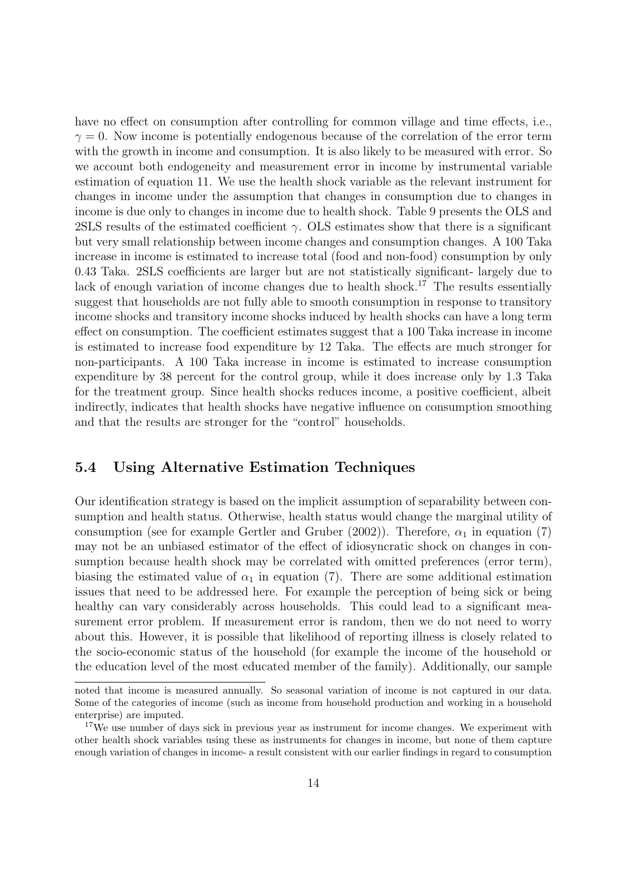have no effect on consumption after controlling for common village and time effects, i.e.,  $\gamma = 0$ . Now income is potentially endogenous because of the correlation of the error term with the growth in income and consumption. It is also likely to be measured with error. So we account both endogeneity and measurement error in income by instrumental variable estimation of equation 11. We use the health shock variable as the relevant instrument for changes in income under the assumption that changes in consumption due to changes in income is due only to changes in income due to health shock. Table 9 presents the OLS and 2SLS results of the estimated coefficient  $\gamma$ . OLS estimates show that there is a significant but very small relationship between income changes and consumption changes. A 100 Taka increase in income is estimated to increase total (food and non-food) consumption by only 0.43 Taka. 2SLS coefficients are larger but are not statistically significant- largely due to lack of enough variation of income changes due to health shock.<sup>17</sup> The results essentially suggest that households are not fully able to smooth consumption in response to transitory income shocks and transitory income shocks induced by health shocks can have a long term effect on consumption. The coefficient estimates suggest that a 100 Taka increase in income is estimated to increase food expenditure by 12 Taka. The effects are much stronger for non-participants. A 100 Taka increase in income is estimated to increase consumption expenditure by 38 percent for the control group, while it does increase only by 1.3 Taka for the treatment group. Since health shocks reduces income, a positive coefficient, albeit indirectly, indicates that health shocks have negative influence on consumption smoothing and that the results are stronger for the "control" households.

#### 5.4 Using Alternative Estimation Techniques

Our identification strategy is based on the implicit assumption of separability between consumption and health status. Otherwise, health status would change the marginal utility of consumption (see for example Gertler and Gruber (2002)). Therefore,  $\alpha_1$  in equation (7) may not be an unbiased estimator of the effect of idiosyncratic shock on changes in consumption because health shock may be correlated with omitted preferences (error term), biasing the estimated value of  $\alpha_1$  in equation (7). There are some additional estimation issues that need to be addressed here. For example the perception of being sick or being healthy can vary considerably across households. This could lead to a significant measurement error problem. If measurement error is random, then we do not need to worry about this. However, it is possible that likelihood of reporting illness is closely related to the socio-economic status of the household (for example the income of the household or the education level of the most educated member of the family). Additionally, our sample

noted that income is measured annually. So seasonal variation of income is not captured in our data. Some of the categories of income (such as income from household production and working in a household enterprise) are imputed.

<sup>&</sup>lt;sup>17</sup>We use number of days sick in previous year as instrument for income changes. We experiment with other health shock variables using these as instruments for changes in income, but none of them capture enough variation of changes in income- a result consistent with our earlier findings in regard to consumption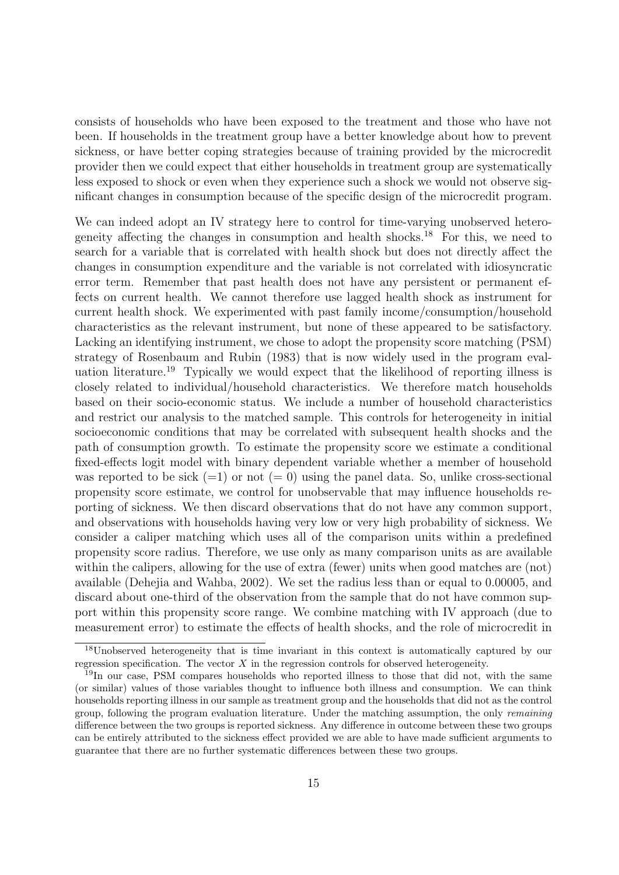consists of households who have been exposed to the treatment and those who have not been. If households in the treatment group have a better knowledge about how to prevent sickness, or have better coping strategies because of training provided by the microcredit provider then we could expect that either households in treatment group are systematically less exposed to shock or even when they experience such a shock we would not observe significant changes in consumption because of the specific design of the microcredit program.

We can indeed adopt an IV strategy here to control for time-varying unobserved heterogeneity affecting the changes in consumption and health shocks.<sup>18</sup> For this, we need to search for a variable that is correlated with health shock but does not directly affect the changes in consumption expenditure and the variable is not correlated with idiosyncratic error term. Remember that past health does not have any persistent or permanent effects on current health. We cannot therefore use lagged health shock as instrument for current health shock. We experimented with past family income/consumption/household characteristics as the relevant instrument, but none of these appeared to be satisfactory. Lacking an identifying instrument, we chose to adopt the propensity score matching (PSM) strategy of Rosenbaum and Rubin (1983) that is now widely used in the program evaluation literature.<sup>19</sup> Typically we would expect that the likelihood of reporting illness is closely related to individual/household characteristics. We therefore match households based on their socio-economic status. We include a number of household characteristics and restrict our analysis to the matched sample. This controls for heterogeneity in initial socioeconomic conditions that may be correlated with subsequent health shocks and the path of consumption growth. To estimate the propensity score we estimate a conditional fixed-effects logit model with binary dependent variable whether a member of household was reported to be sick  $(=1)$  or not  $(= 0)$  using the panel data. So, unlike cross-sectional propensity score estimate, we control for unobservable that may influence households reporting of sickness. We then discard observations that do not have any common support, and observations with households having very low or very high probability of sickness. We consider a caliper matching which uses all of the comparison units within a predefined propensity score radius. Therefore, we use only as many comparison units as are available within the calipers, allowing for the use of extra (fewer) units when good matches are (not) available (Dehejia and Wahba, 2002). We set the radius less than or equal to 0.00005, and discard about one-third of the observation from the sample that do not have common support within this propensity score range. We combine matching with IV approach (due to measurement error) to estimate the effects of health shocks, and the role of microcredit in

<sup>&</sup>lt;sup>18</sup>Unobserved heterogeneity that is time invariant in this context is automatically captured by our regression specification. The vector  $X$  in the regression controls for observed heterogeneity.

<sup>&</sup>lt;sup>19</sup>In our case, PSM compares households who reported illness to those that did not, with the same (or similar) values of those variables thought to influence both illness and consumption. We can think households reporting illness in our sample as treatment group and the households that did not as the control group, following the program evaluation literature. Under the matching assumption, the only remaining difference between the two groups is reported sickness. Any difference in outcome between these two groups can be entirely attributed to the sickness effect provided we are able to have made sufficient arguments to guarantee that there are no further systematic differences between these two groups.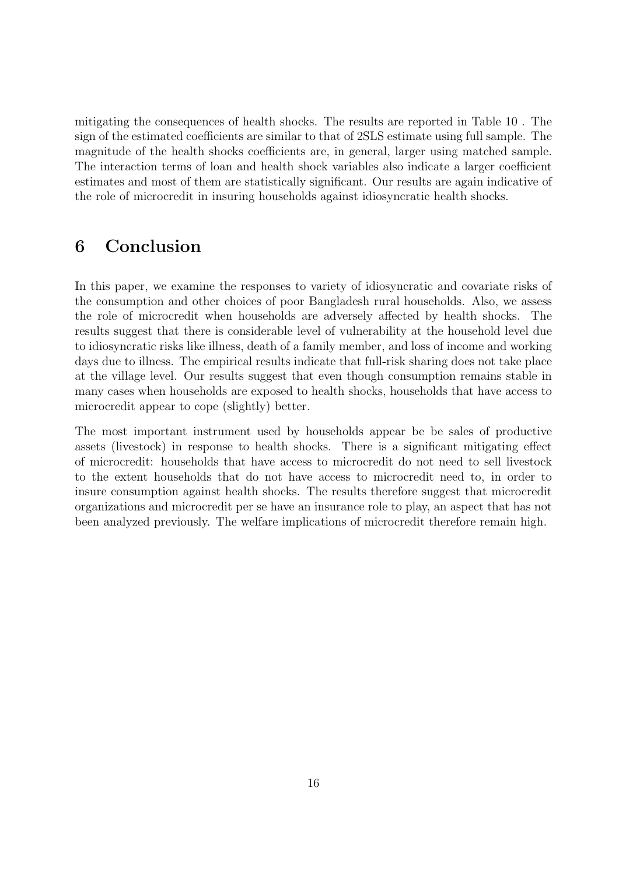mitigating the consequences of health shocks. The results are reported in Table 10 . The sign of the estimated coefficients are similar to that of 2SLS estimate using full sample. The magnitude of the health shocks coefficients are, in general, larger using matched sample. The interaction terms of loan and health shock variables also indicate a larger coefficient estimates and most of them are statistically significant. Our results are again indicative of the role of microcredit in insuring households against idiosyncratic health shocks.

# 6 Conclusion

In this paper, we examine the responses to variety of idiosyncratic and covariate risks of the consumption and other choices of poor Bangladesh rural households. Also, we assess the role of microcredit when households are adversely affected by health shocks. The results suggest that there is considerable level of vulnerability at the household level due to idiosyncratic risks like illness, death of a family member, and loss of income and working days due to illness. The empirical results indicate that full-risk sharing does not take place at the village level. Our results suggest that even though consumption remains stable in many cases when households are exposed to health shocks, households that have access to microcredit appear to cope (slightly) better.

The most important instrument used by households appear be be sales of productive assets (livestock) in response to health shocks. There is a significant mitigating effect of microcredit: households that have access to microcredit do not need to sell livestock to the extent households that do not have access to microcredit need to, in order to insure consumption against health shocks. The results therefore suggest that microcredit organizations and microcredit per se have an insurance role to play, an aspect that has not been analyzed previously. The welfare implications of microcredit therefore remain high.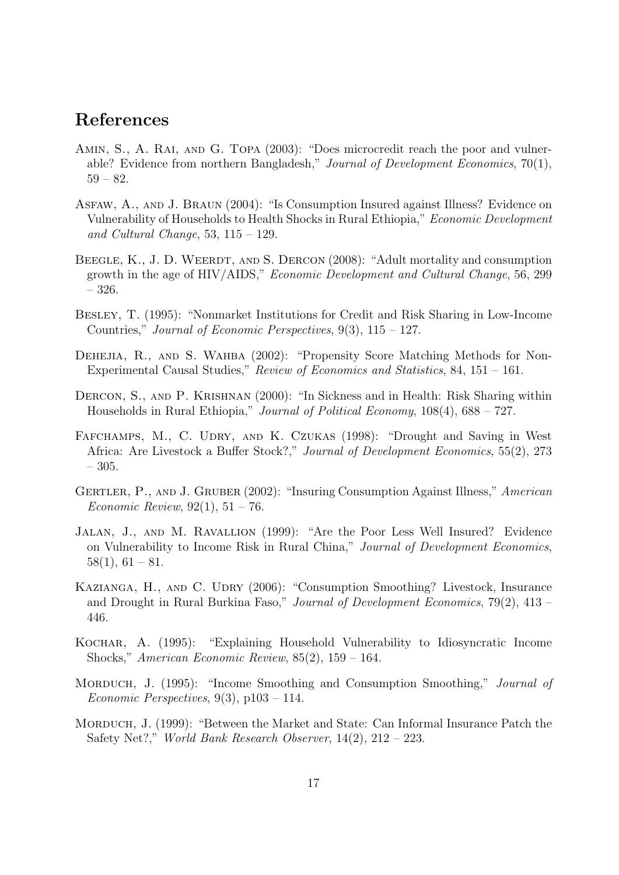#### References

- Amin, S., A. Rai, and G. Topa (2003): "Does microcredit reach the poor and vulnerable? Evidence from northern Bangladesh," Journal of Development Economics, 70(1), 59 – 82.
- Asfaw, A., and J. Braun (2004): "Is Consumption Insured against Illness? Evidence on Vulnerability of Households to Health Shocks in Rural Ethiopia," Economic Development and Cultural Change, 53,  $115 - 129$ .
- BEEGLE, K., J. D. WEERDT, AND S. DERCON (2008): "Adult mortality and consumption growth in the age of HIV/AIDS," Economic Development and Cultural Change, 56, 299 – 326.
- Besley, T. (1995): "Nonmarket Institutions for Credit and Risk Sharing in Low-Income Countries," Journal of Economic Perspectives, 9(3), 115 – 127.
- DEHEJIA, R., AND S. WAHBA (2002): "Propensity Score Matching Methods for Non-Experimental Causal Studies," Review of Economics and Statistics, 84, 151 – 161.
- Dercon, S., and P. Krishnan (2000): "In Sickness and in Health: Risk Sharing within Households in Rural Ethiopia," Journal of Political Economy, 108(4), 688 – 727.
- FAFCHAMPS, M., C. UDRY, AND K. CZUKAS (1998): "Drought and Saving in West Africa: Are Livestock a Buffer Stock?," Journal of Development Economics, 55(2), 273 – 305.
- Gertler, P., and J. Gruber (2002): "Insuring Consumption Against Illness," American *Economic Review*,  $92(1)$ ,  $51 - 76$ .
- Jalan, J., and M. Ravallion (1999): "Are the Poor Less Well Insured? Evidence on Vulnerability to Income Risk in Rural China," Journal of Development Economics,  $58(1), 61 - 81.$
- KAZIANGA, H., AND C. UDRY (2006): "Consumption Smoothing? Livestock, Insurance and Drought in Rural Burkina Faso," Journal of Development Economics, 79(2), 413 – 446.
- Kochar, A. (1995): "Explaining Household Vulnerability to Idiosyncratic Income Shocks," American Economic Review, 85(2), 159 – 164.
- MORDUCH, J. (1995): "Income Smoothing and Consumption Smoothing," *Journal of* Economic Perspectives, 9(3), p103 – 114.
- MORDUCH, J. (1999): "Between the Market and State: Can Informal Insurance Patch the Safety Net?," World Bank Research Observer,  $14(2)$ ,  $212 - 223$ .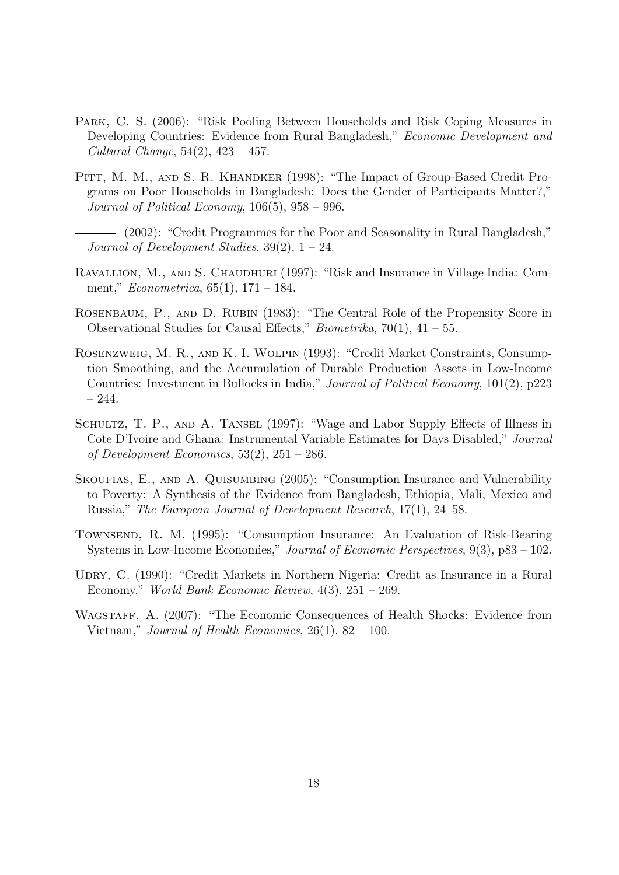- Park, C. S. (2006): "Risk Pooling Between Households and Risk Coping Measures in Developing Countries: Evidence from Rural Bangladesh," Economic Development and Cultural Change, 54(2), 423 – 457.
- Pitt, M. M., and S. R. Khandker (1998): "The Impact of Group-Based Credit Programs on Poor Households in Bangladesh: Does the Gender of Participants Matter?," Journal of Political Economy, 106(5), 958 – 996.
	- (2002): "Credit Programmes for the Poor and Seasonality in Rural Bangladesh," Journal of Development Studies,  $39(2)$ ,  $1 - 24$ .
- RAVALLION, M., AND S. CHAUDHURI (1997): "Risk and Insurance in Village India: Comment," Econometrica, 65(1), 171 – 184.
- ROSENBAUM, P., AND D. RUBIN (1983): "The Central Role of the Propensity Score in Observational Studies for Causal Effects," *Biometrika*,  $70(1)$ ,  $41 - 55$ .
- Rosenzweig, M. R., and K. I. Wolpin (1993): "Credit Market Constraints, Consumption Smoothing, and the Accumulation of Durable Production Assets in Low-Income Countries: Investment in Bullocks in India," Journal of Political Economy, 101(2), p223 – 244.
- SCHULTZ, T. P., AND A. TANSEL (1997): "Wage and Labor Supply Effects of Illness in Cote D'Ivoire and Ghana: Instrumental Variable Estimates for Days Disabled," Journal of Development Economics,  $53(2)$ ,  $251 - 286$ .
- SKOUFIAS, E., AND A. QUISUMBING (2005): "Consumption Insurance and Vulnerability to Poverty: A Synthesis of the Evidence from Bangladesh, Ethiopia, Mali, Mexico and Russia," The European Journal of Development Research, 17(1), 24–58.
- Townsend, R. M. (1995): "Consumption Insurance: An Evaluation of Risk-Bearing Systems in Low-Income Economies," Journal of Economic Perspectives, 9(3), p83 – 102.
- UDRY, C. (1990): "Credit Markets in Northern Nigeria: Credit as Insurance in a Rural Economy," World Bank Economic Review, 4(3), 251 – 269.
- WAGSTAFF, A. (2007): "The Economic Consequences of Health Shocks: Evidence from Vietnam," Journal of Health Economics,  $26(1)$ ,  $82 - 100$ .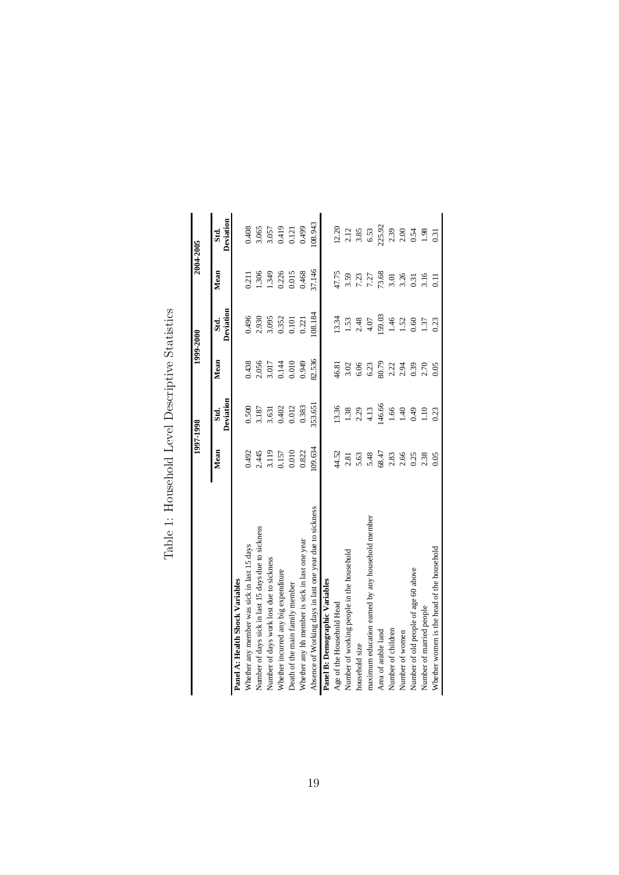|                                                          |        | 1997-1998         |        | 1999-2000         |        | 2004-2005         |
|----------------------------------------------------------|--------|-------------------|--------|-------------------|--------|-------------------|
|                                                          | Mean   | Deviation<br>Std. | Mean   | Deviation<br>Std. | Mean   | Deviation<br>Std. |
| Panel A: Health Shock Variables                          |        |                   |        |                   |        |                   |
| Whether any member was sick in last 15 days              | 0.492  | 0.500             | 0.438  | 0.496             | 0.211  | 0.408             |
| Number of days sick in last 15 days due to sickness      | 2.445  | 3.187             | 2.056  | 2.930             | 1.306  | 3.065             |
| Number of days work lost due to sickness                 | 3.119  | 3.631             | 3.017  | 3.095             | 1.349  | 3.057             |
| Whether incurred any big expenditure                     | 0.157  | 0.402             | 0.144  | 0.352             | 0.226  | 0.419             |
| Death of the main family member                          | 0.010  | 0.012             | 0.010  | 0.101             | 0.015  | 0.121             |
| Whether any hh member is sick in last one year           | 0.822  | 0.383             | 0.949  | 0.221             | 0.468  | 0.499             |
| Absence of Working days in last one year due to sickness | 09.634 | 353.651           | 82.536 | 108.184           | 37.146 | 08.943            |
| Panel B: Demographic Variables                           |        |                   |        |                   |        |                   |
| Age of the Household Head                                | 44.52  | 13.36             | 46.81  | 13.34             | 47.75  | 12.20             |
| Number of working people in the household                | 2.81   | 1.38              | 3.02   | 1.53              | 3.59   | 2.12              |
| household size                                           | 5.63   | 2.29              | 6.06   | 2.48              | 7.23   | 3.85              |
| maximum education earned by any household member         | 5.48   | 4.13              | 6.23   | 4.07              | 7.27   | 6.53              |
| Area of arable land                                      | 68.47  | 146.66            | 80.79  | 159.03            | 73.68  | 225.92            |
| Number of children                                       | 2.83   | 1.66              | 2.22   | 1.46              | 3.01   | 2.39              |
| Number of women                                          | 2.66   | 1.40              | 2.94   | 1.52              | 3.26   | 2.00              |
| Number of old people of age 60 above                     | 0.25   | 0.49              | 0.39   | 0.60              | 0.31   | 0.54              |
| Number of married people                                 | 2.38   | 1.10              | 2.70   | 1.37              | 3.16   | 1.98              |
| Whether women is the head of the household               | 0.05   | 0.23              | 0.05   | 0.23              | $\Xi$  | 0.31              |

Table 1: Household Level Descriptive Statistics Table 1: Household Level Descriptive Statistics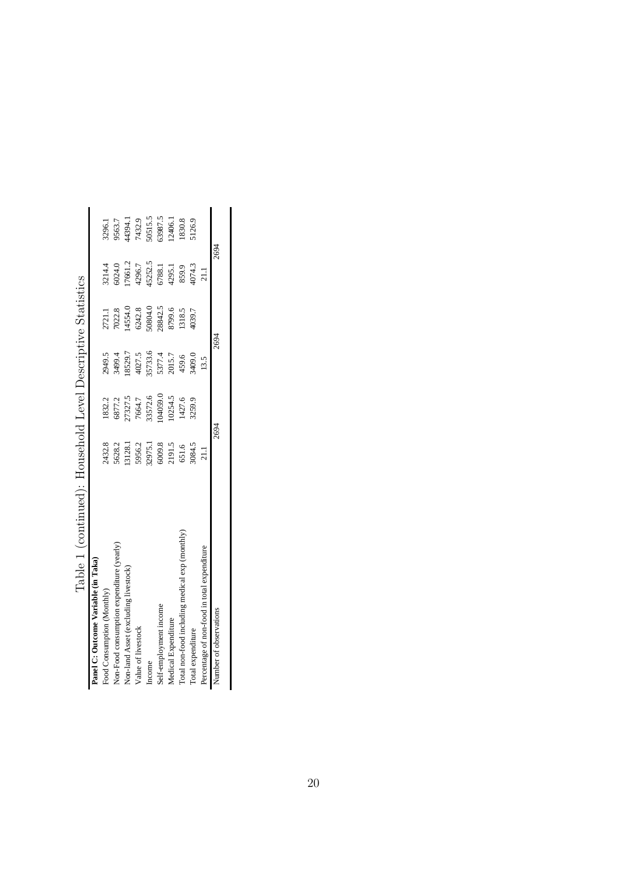| Table 1 (continued): Household Level Descriptive Statistics |         |                                                   |                             |                                     |                           |
|-------------------------------------------------------------|---------|---------------------------------------------------|-----------------------------|-------------------------------------|---------------------------|
|                                                             |         |                                                   |                             |                                     |                           |
|                                                             |         |                                                   |                             | 3214.4                              | 3296.1                    |
|                                                             | 6877.2  | 3499.4                                            | 7022.8                      |                                     | 9563.7                    |
| 13128.1                                                     |         | 18529.7                                           | 14554.0                     | 17661.2                             | 44394.1                   |
|                                                             |         | 4027.5                                            |                             | 4296.7                              | 7432.9                    |
|                                                             |         |                                                   |                             |                                     |                           |
| 6009.8                                                      |         |                                                   | 28842.5                     | 6788.1                              | 50515.5<br>63987.5        |
| 2191.5                                                      | 10254.5 | 2015.7                                            | 8799.6                      | 4295.1                              | 12406.1                   |
| 651.6                                                       | 1427.6  | 459.6                                             | 1318.5                      | 859.9                               | 1830.8                    |
| 3084.5                                                      | 3259.9  | 3409.0                                            | 1039.7                      | 4074.3                              | i126.9                    |
| 211                                                         |         | 13.5                                              |                             | 21.1                                |                           |
| 2694                                                        |         |                                                   |                             |                                     |                           |
| 5956.2<br>32975.1<br>2432.8<br>5628.2                       |         | 04059.0<br>33572.6<br>27327.5<br>1832.2<br>7664.7 | 35733.6<br>5377.4<br>2949.5 | 50804.0<br>6242.8<br>2721.1<br>2694 | 2694<br>45252.5<br>6024.0 |

| )<br>l<br>I<br>I<br>Ï                                  |
|--------------------------------------------------------|
| l<br>i<br>I<br>I<br>i<br>י<br>I                        |
| ו<br>נ<br>j<br>j<br>j<br>ׇ֚֘֡<br>)<br>j<br>ו<br>ו<br>I |
| j<br>֕<br>I<br>۱                                       |
| ۱<br>)<br>l<br>į<br>l<br>I                             |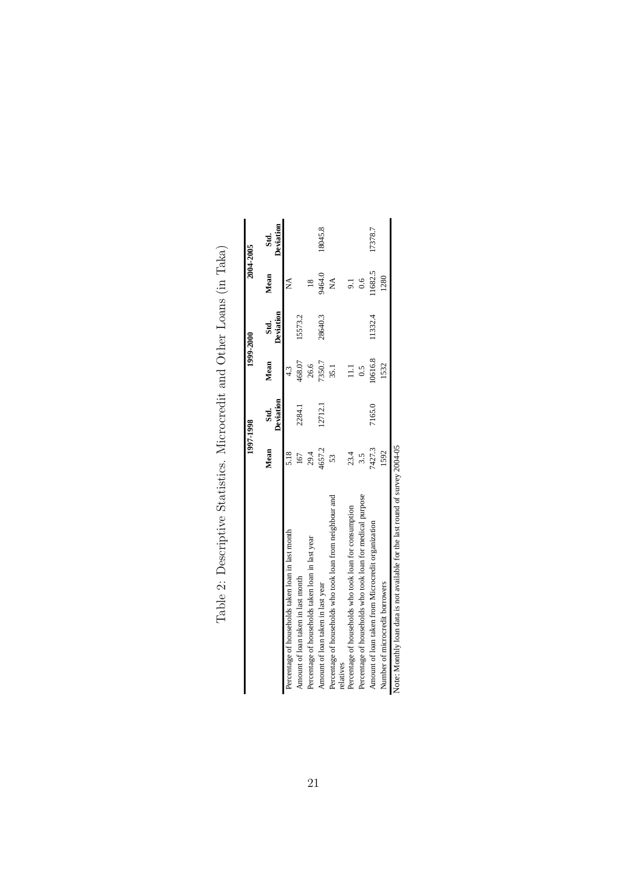|                                                                               |        | 1997-1998         |         | 1999-2000         |                | 2004-2005         |
|-------------------------------------------------------------------------------|--------|-------------------|---------|-------------------|----------------|-------------------|
|                                                                               | Mean   | Deviation<br>Std. | Mean    | Deviation<br>Std. | Mean           | Deviation<br>Std. |
| Percentage of households taken loan in last month                             | 5.18   |                   | 4.3     |                   | ⊉              |                   |
| Amount of loan taken in last month                                            | 167    | 2284.1            | 468.07  | 15573.2           |                |                   |
| Percentage of households taken loan in last year                              | 29.4   |                   | 26.6    |                   | $\frac{8}{18}$ |                   |
| Amount of loan taken in last year                                             | 4657.2 | 12712.1           | 7350.7  | 28640.3           | 9464.0         | 18045.8           |
| Percentage of households who took loan from neighbour and<br>relatives        | 53     |                   | 35.1    |                   | Ź              |                   |
| Percentage of households who took loan for consumption                        | 23.4   |                   |         |                   |                |                   |
| Percentage of households who took loan for medical purpose                    | 3.5    |                   | 0.5     |                   | 0.6            |                   |
| Amount of loan taken from Microcredit organization                            | 7427.3 | 7165.0            | 10616.8 | 11332.4           | 11682.5        | 17378.7           |
| Number of microcredit borrowers                                               | 1592   |                   | 1532    |                   | 1280           |                   |
| Note: Monthly loan data is not available for the last round of survey 2004-05 |        |                   |         |                   |                |                   |

Table 2: Descriptive Statistics. Microcredit and Other Loans (in Taka) Table 2: Descriptive Statistics. Microcredit and Other Loans (in Taka)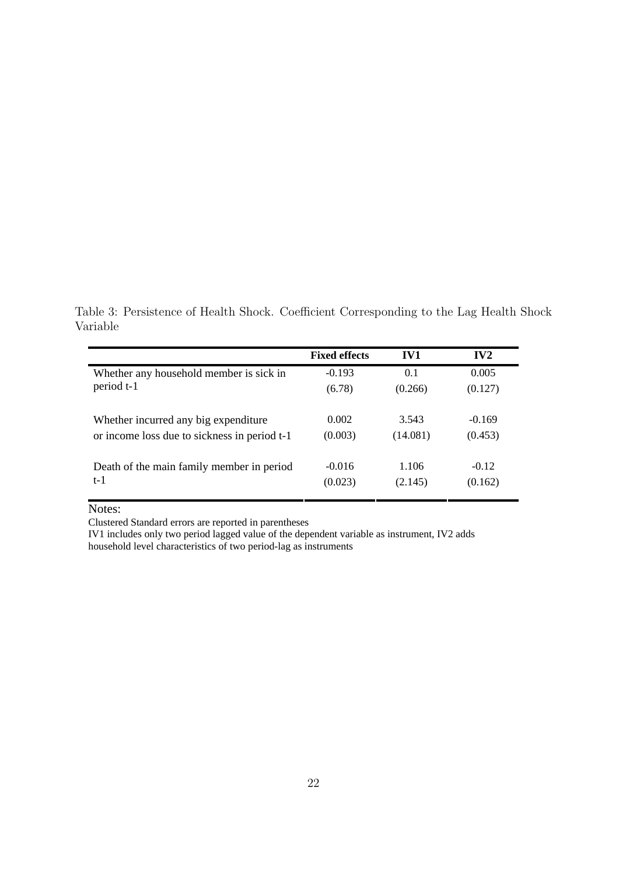Table 3: Persistence of Health Shock. Coefficient Corresponding to the Lag Health Shock Variable

|                                              | <b>Fixed effects</b> | IV1      | IV2      |
|----------------------------------------------|----------------------|----------|----------|
| Whether any household member is sick in      | $-0.193$             | 0.1      | 0.005    |
| period t-1                                   | (6.78)               | (0.266)  | (0.127)  |
|                                              |                      |          |          |
| Whether incurred any big expenditure         | 0.002                | 3.543    | $-0.169$ |
| or income loss due to sickness in period t-1 | (0.003)              | (14.081) | (0.453)  |
|                                              |                      |          |          |
| Death of the main family member in period    | $-0.016$             | 1.106    | $-0.12$  |
| t-1                                          | (0.023)              | (2.145)  | (0.162)  |
|                                              |                      |          |          |

Notes:

Clustered Standard errors are reported in parentheses

IV1 includes only two period lagged value of the dependent variable as instrument, IV2 adds household level characteristics of two period-lag as instruments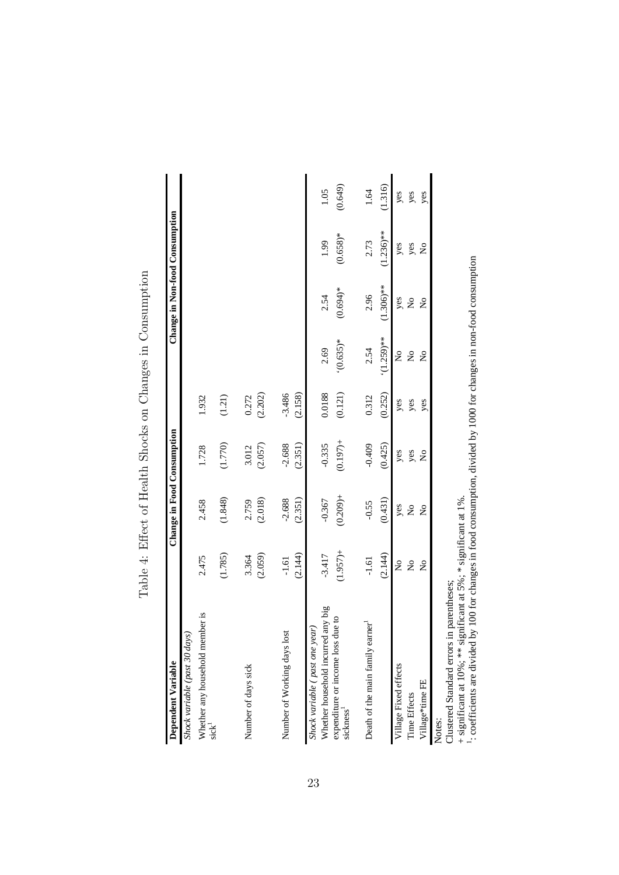| Dependent Variable                                         |                           | Change in Food Consumption |                           |          |                                |                           | Change in Non-food Consumption |         |
|------------------------------------------------------------|---------------------------|----------------------------|---------------------------|----------|--------------------------------|---------------------------|--------------------------------|---------|
| Shock variable (past 30 days                               |                           |                            |                           |          |                                |                           |                                |         |
| Whether any household member is<br>$sick^1$                | 2.475                     | 2.458                      | 1.728                     | 1.932    |                                |                           |                                |         |
|                                                            | (1.785)                   | (1.848)                    | (1.770)                   | (1.21)   |                                |                           |                                |         |
| Number of days sick                                        | 3.364                     | 2.759                      | 3.012                     | 0.272    |                                |                           |                                |         |
|                                                            | (2.059)                   | (2.018)                    | (2.057)                   | (2.202)  |                                |                           |                                |         |
| Number of Working days lost                                | $-1.61$                   | $-2.688$                   | $-2.688$                  | $-3.486$ |                                |                           |                                |         |
|                                                            | (2.144)                   | (2.351)                    | (2.351)                   | (2.158)  |                                |                           |                                |         |
| Shock variable ( past one year)                            |                           |                            |                           | 0.0188   |                                |                           |                                |         |
| Whether household incurred any big                         | $-3.417$                  | $-0.367$                   | $-0.335$                  |          | 2.69                           | 2.54                      | 1.99                           | 1.05    |
| expenditure or income loss due to<br>sickness <sup>1</sup> | $(1.957) +$               | $(0.209) +$                | $(0.197)$ +               | (0.121)  | $*(0.635)$ *                   | $(0.694)*$                | $(0.658)*$                     | (0.649) |
| Death of the main family earner                            | $-1.61$                   | $-0.55$                    | $-0.409$                  | 0.312    | 2.54                           | 2.96                      | 2.73                           | 1.64    |
|                                                            | (2.144)                   | (0.431)                    | (0.425)                   | (0.252)  | $(1.259)$ **                   | $(1.306)$ **              | $(1.236)$ **                   | (1.316) |
| Village Fixed effects                                      | $\mathsf{S}^{\mathsf{O}}$ |                            | yes                       | yes      | $\mathop{\mathsf{S}}\nolimits$ | yes                       | yes                            | yes     |
| Time Effects                                               | $\mathsf{S}^{\mathsf{o}}$ | yes<br>No                  | yes                       | yes      | $\mathop{\mathsf{S}}\nolimits$ | $\mathsf{S}^{\mathsf{o}}$ | yes                            | yes     |
| Village*time FE                                            | $\mathsf{S}^{\mathsf{o}}$ | $\mathsf{S}^{\mathsf{O}}$  | $\mathsf{S}^{\mathsf{o}}$ | yes      | $\mathsf{S}^{\mathsf{O}}$      | $\mathsf{S}^{\mathsf{o}}$ | $\mathsf{S}^{\mathsf{o}}$      | yes     |
| Clustered Standard errors in parentheses;<br>Notes:        |                           |                            |                           |          |                                |                           |                                |         |
|                                                            |                           |                            |                           |          |                                |                           |                                |         |

Table 4: Effect of Health Shocks on Changes in Consumption Table 4: Effect of Health Shocks on Changes in Consumption

+ significant at 10%; \*\* significant at 5%; \* significant at 1%.

: coefficients are divided by 100 for changes in food consumption, divided by 1000 for changes in non-food consumption

 $\overline{\phantom{0}}$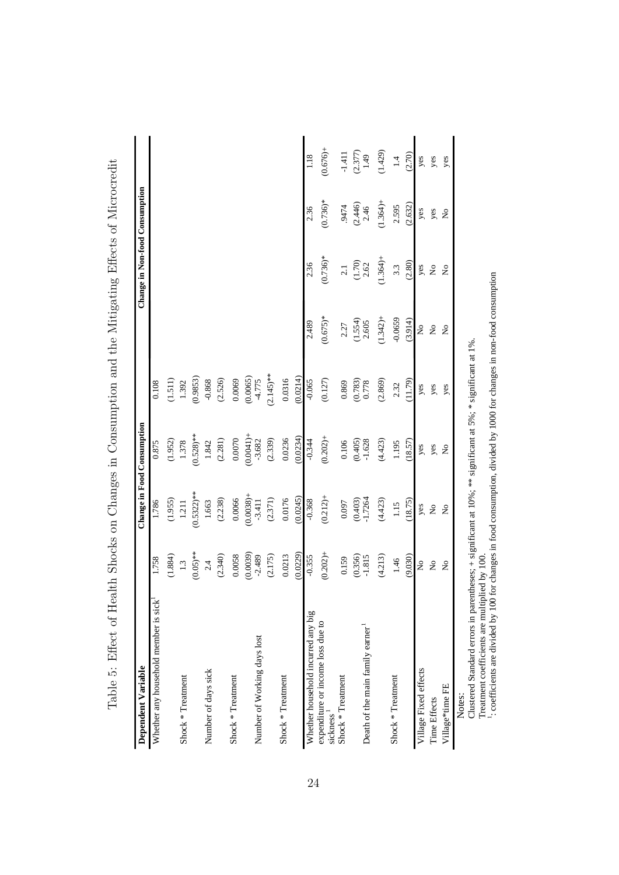| Dependent Variable                                                                                                     |                           |                          | Change in Food Consumption |                      |                           | Change in Non-food Consumption |                      |                   |
|------------------------------------------------------------------------------------------------------------------------|---------------------------|--------------------------|----------------------------|----------------------|---------------------------|--------------------------------|----------------------|-------------------|
| Whether any household member is sick                                                                                   | 1.758                     | 1.786                    | 0.875                      | 0.108                |                           |                                |                      |                   |
|                                                                                                                        | (1.884)                   | (1.955)                  | (1.952)                    | (1.511)              |                           |                                |                      |                   |
| Shock * Treatment                                                                                                      | 1.3                       | 1.211                    | 1.378                      | 1.392                |                           |                                |                      |                   |
|                                                                                                                        | $(0.05)$ **               | $(0.5322)*$              | $(0.528)$ **               | (0.9853)             |                           |                                |                      |                   |
| Number of days sick                                                                                                    | 2.4                       | 1.663                    | 1.842                      | $-0.868$             |                           |                                |                      |                   |
|                                                                                                                        | (2.340)                   | (2.238)                  | (2.281)                    | (2.526)              |                           |                                |                      |                   |
| Shock * Treatment                                                                                                      | 0.0058                    | 0.0066                   | 0.0070                     | 0.0069               |                           |                                |                      |                   |
| Number of Working days lost                                                                                            | (0.0039)<br>$-2.489$      | $+$ (8200'0)<br>$-3.411$ | $(0.0041) +$<br>$-3.682$   | (0.0065)<br>$-4.775$ |                           |                                |                      |                   |
|                                                                                                                        | (2.175)                   | (2.371)                  | (2.339)                    | $(2.145)$ **         |                           |                                |                      |                   |
| Shock * Treatment                                                                                                      | 0.0213                    | 0.0176                   | 0.0236                     | 0.0316               |                           |                                |                      |                   |
|                                                                                                                        | (0.0229)                  | (0.0245)                 | (0.0234)                   | (0.0214)             |                           |                                |                      |                   |
| Whether household incurred any big                                                                                     | $-0.355$                  | $-0.368$                 | $-0.344$                   | $-0.065$             | 2.489                     | 2.36                           | 2.36                 | 1.18              |
| expenditure or income loss due to<br>sickness <sup>1</sup>                                                             | $(0.202) +$               | $(0.212) +$              | $(0.202) +$                | (0.127)              | $(0.675)*$                | $(0.736)*$                     | $(0.736)*$           | $(0.676) +$       |
| Shock * Treatment                                                                                                      | 0.159                     | 0.097                    | 0.106                      | 0.869                | 2.27                      | $2.1\,$                        | 9474                 | $-1.411$          |
|                                                                                                                        | $(0.356)$<br>-1.815       | $(0.403)$<br>-1.7264     | (0.405)                    | (0.783)              | $(1.554)$<br>$2.605$      | $(1.70)$ $2.62$                | (2.446)              | $(2.377)$<br>1.49 |
| Death of the main family earner                                                                                        |                           |                          | $-1.628$                   | 0.778                |                           |                                | 2.46                 |                   |
|                                                                                                                        | (4.213)                   | (4.423)                  | (4.423)                    | (2.869)              | $(1.342) +$               | $(1.364) +$                    | $(1.364) +$          | (1.429)           |
| Shock * Treatment                                                                                                      | 1.46                      | 1.15                     | 1.195                      | 2.32                 | $-0.0659$                 | 3.3                            | 2.595                | $1.4\,$           |
|                                                                                                                        | (9.030)                   | (18.75)                  | (18.57)                    | (11.79)              | (3.914)                   | (2.80)                         | (2.632)              | (2.70)            |
| Village Fixed effects                                                                                                  | $\mathsf{S}^{\mathsf{O}}$ | yes                      | yes                        | yes                  | $\mathsf{S}^{\mathsf{O}}$ | yes                            | yes                  | yes               |
| Time Effects                                                                                                           | $\tilde{z}$               | $\tilde{z}$              | yes                        | yes                  | $\mathsf{S}^{\mathsf{O}}$ | $\mathsf{S}^{\mathsf{O}}$      | yes                  | yes               |
| Village*time FE                                                                                                        | $\mathsf{S}^{\mathsf{O}}$ | $\tilde{z}$              | $\tilde{\mathbf{z}}$       | yes                  | $\mathsf{S}^{\mathsf{O}}$ | $\frac{1}{2}$                  | $\tilde{\mathbf{z}}$ | yes               |
| Clustered Standard errors in parentheses: $+$ significant at 10%; ** significant at 5%; * significant at 1%.<br>Notes: |                           |                          |                            |                      |                           |                                |                      |                   |

Table 5: Effect of Health Shocks on Changes in Consumption and the Mitigating Effects of Microcredit Table 5: Effect of Health Shocks on Changes in Consumption and the Mitigating Effects of Microcredit

24

Clustered Standard errors in parentheses; + significant at 10%; \*\* significant at 5%; \* significant at 1%. Treatment coefficients are multiplied by 100.  $\overline{a}$ 

: coefficients are divided by 100 for changes in food consumption, divided by 1000 for changes in non-food consumption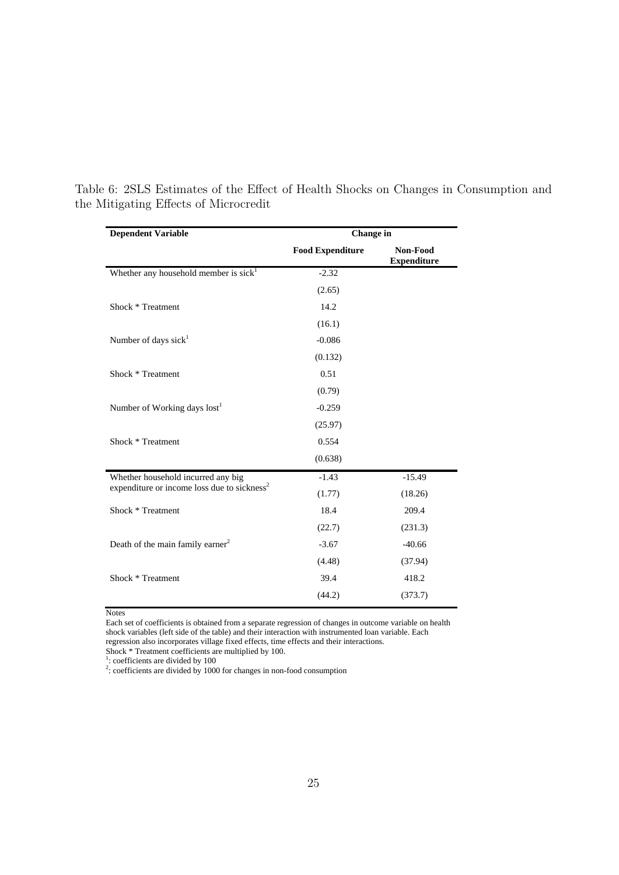| <b>Dependent Variable</b>                               | <b>Change</b> in        |                                |
|---------------------------------------------------------|-------------------------|--------------------------------|
|                                                         | <b>Food Expenditure</b> | Non-Food<br><b>Expenditure</b> |
| Whether any household member is sick <sup>1</sup>       | $-2.32$                 |                                |
|                                                         | (2.65)                  |                                |
| Shock * Treatment                                       | 14.2                    |                                |
|                                                         | (16.1)                  |                                |
| Number of days sick <sup>1</sup>                        | $-0.086$                |                                |
|                                                         | (0.132)                 |                                |
| Shock * Treatment                                       | 0.51                    |                                |
|                                                         | (0.79)                  |                                |
| Number of Working days lost <sup>1</sup>                | $-0.259$                |                                |
|                                                         | (25.97)                 |                                |
| Shock * Treatment                                       | 0.554                   |                                |
|                                                         | (0.638)                 |                                |
| Whether household incurred any big                      | $-1.43$                 | $-15.49$                       |
| expenditure or income loss due to sickness <sup>2</sup> | (1.77)                  | (18.26)                        |
| Shock * Treatment                                       | 18.4                    | 209.4                          |
|                                                         | (22.7)                  | (231.3)                        |
| Death of the main family earner <sup>2</sup>            | $-3.67$                 | $-40.66$                       |
|                                                         | (4.48)                  | (37.94)                        |
| Shock * Treatment                                       | 39.4                    | 418.2                          |
|                                                         | (44.2)                  | (373.7)                        |

Table 6: 2SLS Estimates of the Effect of Health Shocks on Changes in Consumption and the Mitigating Effects of Microcredit

**Notes** 

Each set of coefficients is obtained from a separate regression of changes in outcome variable on health shock variables (left side of the table) and their interaction with instrumented loan variable. Each regression also incorporates village fixed effects, time effects and their interactions.

Shock \* Treatment coefficients are multiplied by 100.<br><sup>1</sup>: coefficients are divided by 100<br><sup>2</sup>: coefficients are divided by 1000 for changes in non-food consumption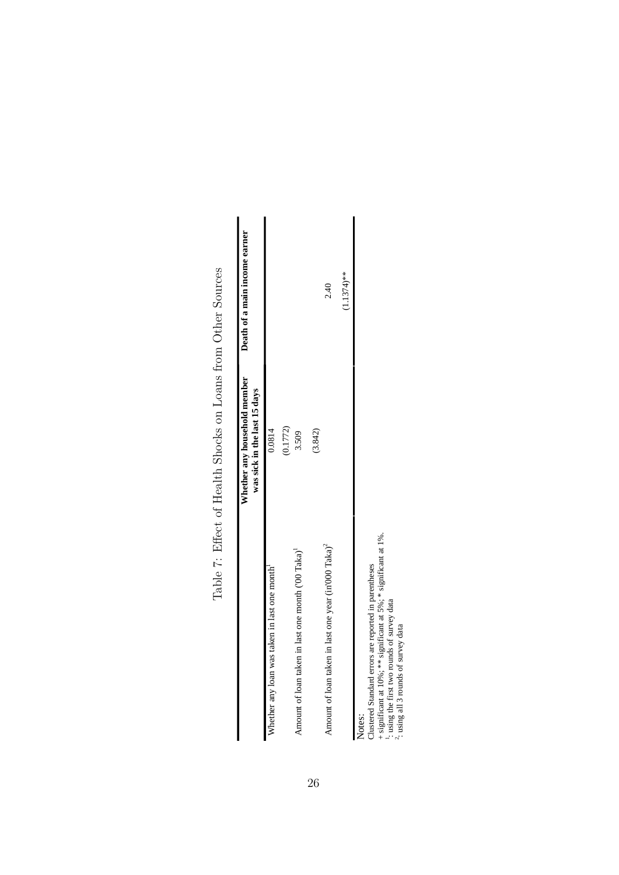|                                                                  | Whether any household member<br>was sick in the last 15 days | Death of a main income earner |
|------------------------------------------------------------------|--------------------------------------------------------------|-------------------------------|
| Whether any loan was taken in last one month'                    | 0.0814                                                       |                               |
|                                                                  | (0.1772)                                                     |                               |
| Amount of loan taken in last one month ('00 Taka) <sup>1</sup>   | 3.509                                                        |                               |
|                                                                  | (3.842)                                                      |                               |
| Amount of loan taken in last one year (in'000 Taka) <sup>2</sup> |                                                              | 2.40                          |
|                                                                  |                                                              | $(1.1374)$ **                 |
| Notes:                                                           |                                                              |                               |

Table 7: Effect of Health Shocks on Loans from Other Sources Table 7: Effect of Health Shocks on Loans from Other Sources

Clustered Standard errors are reported in parentheses

+ significant at 10%; \*\* significant at 5%; \* significant at 1%. 1

: using the first two rounds of survey data : using all 3 rounds of survey data

 $\sim$ 

26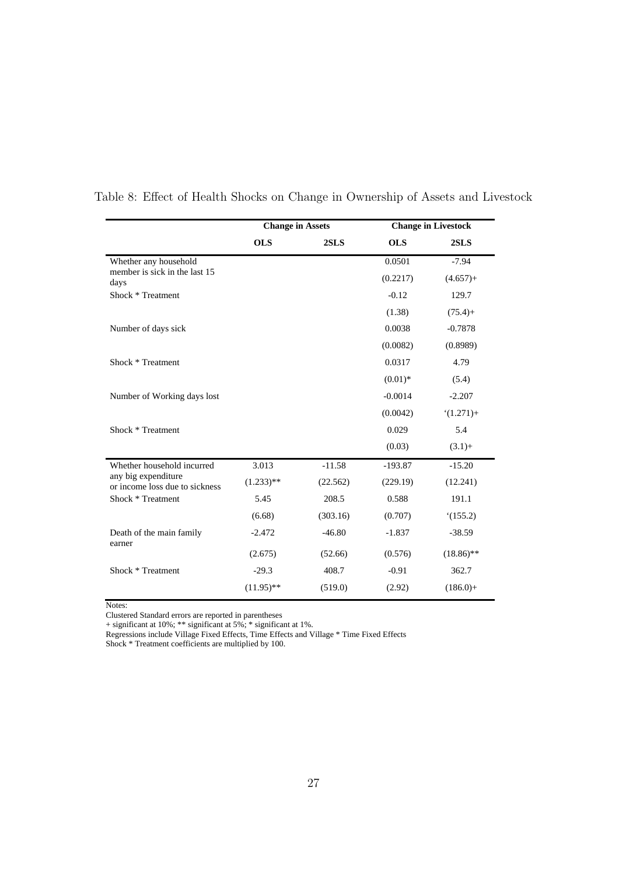|                                                       | <b>Change in Assets</b> |          |            | <b>Change in Livestock</b> |
|-------------------------------------------------------|-------------------------|----------|------------|----------------------------|
|                                                       | <b>OLS</b>              | 2SLS     | <b>OLS</b> | 2SLS                       |
| Whether any household                                 |                         |          | 0.0501     | $-7.94$                    |
| member is sick in the last 15<br>days                 |                         |          | (0.2217)   | $(4.657) +$                |
| Shock * Treatment                                     |                         |          | $-0.12$    | 129.7                      |
|                                                       |                         |          | (1.38)     | $(75.4) +$                 |
| Number of days sick                                   |                         |          | 0.0038     | $-0.7878$                  |
|                                                       |                         |          | (0.0082)   | (0.8989)                   |
| Shock * Treatment                                     |                         |          | 0.0317     | 4.79                       |
|                                                       |                         |          | $(0.01)*$  | (5.4)                      |
| Number of Working days lost                           |                         |          | $-0.0014$  | $-2.207$                   |
|                                                       |                         |          | (0.0042)   | $(1.271) +$                |
| Shock * Treatment                                     |                         |          | 0.029      | 5.4                        |
|                                                       |                         |          | (0.03)     | $(3.1) +$                  |
| Whether household incurred                            | 3.013                   | $-11.58$ | $-193.87$  | $-15.20$                   |
| any big expenditure<br>or income loss due to sickness | $(1.233)$ **            | (22.562) | (229.19)   | (12.241)                   |
| Shock * Treatment                                     | 5.45                    | 208.5    | 0.588      | 191.1                      |
|                                                       | (6.68)                  | (303.16) | (0.707)    | (155.2)                    |
| Death of the main family<br>earner                    | $-2.472$                | $-46.80$ | $-1.837$   | $-38.59$                   |
|                                                       | (2.675)                 | (52.66)  | (0.576)    | $(18.86)$ **               |
| Shock * Treatment                                     | $-29.3$                 | 408.7    | $-0.91$    | 362.7                      |
|                                                       | $(11.95)$ **            | (519.0)  | (2.92)     | $(186.0) +$                |

Table 8: Effect of Health Shocks on Change in Ownership of Assets and Livestock

Notes:

Clustered Standard errors are reported in parentheses

+ significant at 10%; \*\* significant at 5%; \* significant at 1%.

Regressions include Village Fixed Effects, Time Effects and Village \* Time Fixed Effects

Shock \* Treatment coefficients are multiplied by 100.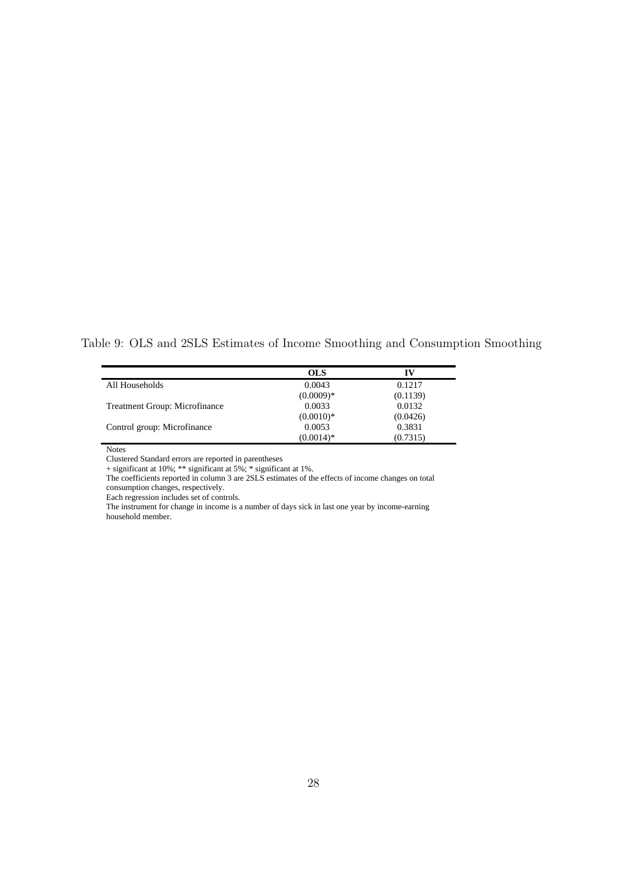Table 9: OLS and 2SLS Estimates of Income Smoothing and Consumption Smoothing

|                                      | <b>OLS</b>  | IV       |
|--------------------------------------|-------------|----------|
| All Households                       | 0.0043      | 0.1217   |
|                                      | $(0.0009)*$ | (0.1139) |
| <b>Treatment Group: Microfinance</b> | 0.0033      | 0.0132   |
|                                      | $(0.0010)*$ | (0.0426) |
| Control group: Microfinance          | 0.0053      | 0.3831   |
|                                      | $(0.0014)*$ | (0.7315) |

Notes

Clustered Standard errors are reported in parentheses

+ significant at 10%; \*\* significant at 5%; \* significant at 1%.

The coefficients reported in column 3 are 2SLS estimates of the effects of income changes on total consumption changes, respectively.

Each regression includes set of controls.

The instrument for change in income is a number of days sick in last one year by income-earning household member.